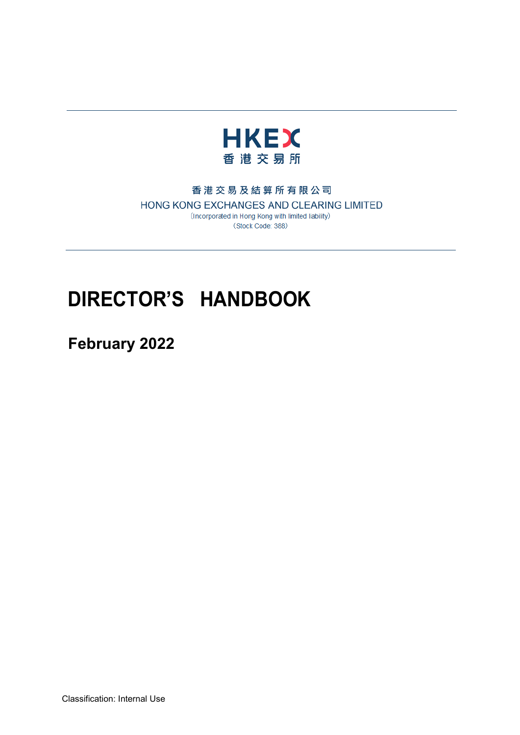

## 香港交易及結算所有限公司

HONG KONG EXCHANGES AND CLEARING LIMITED (Incorporated in Hong Kong with limited liability) (Stock Code: 388)

# **DIRECTOR'S HANDBOOK**

**February 2022**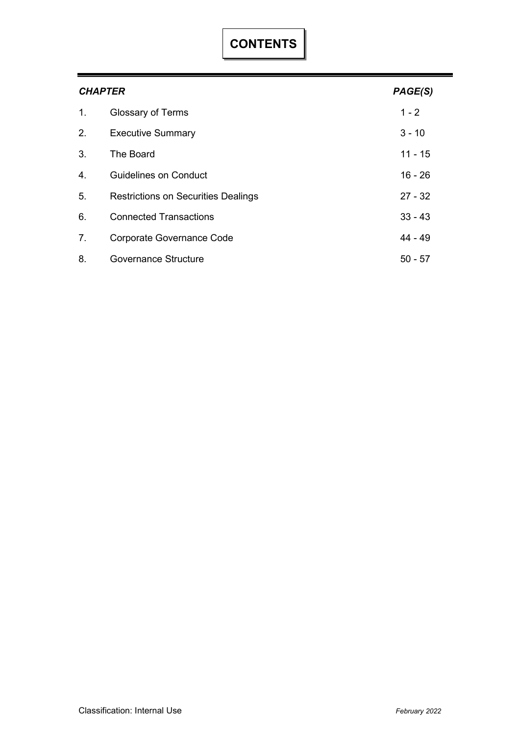| <b>CHAPTER</b> |                                            |           |
|----------------|--------------------------------------------|-----------|
| 1.             | Glossary of Terms                          | $1 - 2$   |
| 2.             | <b>Executive Summary</b>                   | $3 - 10$  |
| 3.             | The Board                                  | 11 - 15   |
| 4.             | Guidelines on Conduct                      | $16 - 26$ |
| 5.             | <b>Restrictions on Securities Dealings</b> | $27 - 32$ |
| 6.             | <b>Connected Transactions</b>              | $33 - 43$ |
| 7.             | <b>Corporate Governance Code</b>           | 44 - 49   |
| 8.             | Governance Structure                       | $50 - 57$ |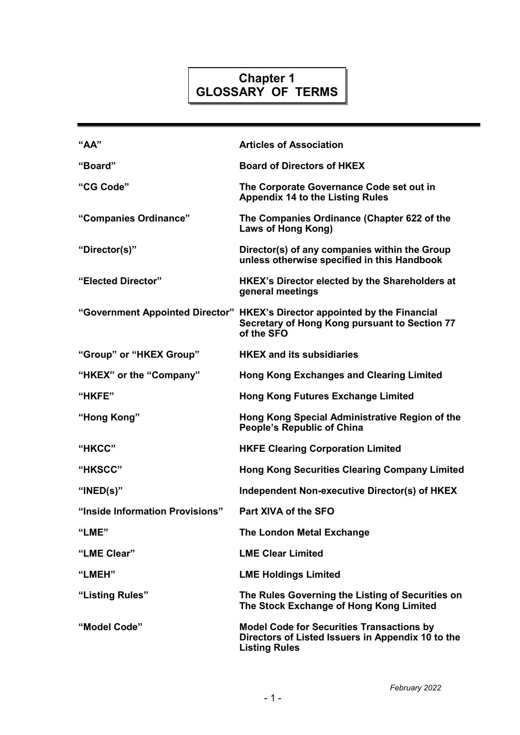# **Chapter 1 GLOSSARY OF TERMS**

| "AA"                            | <b>Articles of Association</b>                                                                                                            |
|---------------------------------|-------------------------------------------------------------------------------------------------------------------------------------------|
| "Board"                         | <b>Board of Directors of HKEX</b>                                                                                                         |
| "CG Code"                       | The Corporate Governance Code set out in<br><b>Appendix 14 to the Listing Rules</b>                                                       |
| "Companies Ordinance"           | The Companies Ordinance (Chapter 622 of the<br>Laws of Hong Kong)                                                                         |
| "Director(s)"                   | Director(s) of any companies within the Group<br>unless otherwise specified in this Handbook                                              |
| "Elected Director"              | HKEX's Director elected by the Shareholders at<br>general meetings                                                                        |
|                                 | "Government Appointed Director" HKEX's Director appointed by the Financial<br>Secretary of Hong Kong pursuant to Section 77<br>of the SFO |
| "Group" or "HKEX Group"         | <b>HKEX and its subsidiaries</b>                                                                                                          |
| "HKEX" or the "Company"         | <b>Hong Kong Exchanges and Clearing Limited</b>                                                                                           |
| "HKFE"                          | <b>Hong Kong Futures Exchange Limited</b>                                                                                                 |
| "Hong Kong"                     | Hong Kong Special Administrative Region of the<br><b>People's Republic of China</b>                                                       |
| "HKCC"                          | <b>HKFE Clearing Corporation Limited</b>                                                                                                  |
| "HKSCC"                         | <b>Hong Kong Securities Clearing Company Limited</b>                                                                                      |
| " $INED(s)$ "                   | Independent Non-executive Director(s) of HKEX                                                                                             |
| "Inside Information Provisions" | Part XIVA of the SFO                                                                                                                      |
| "LME"                           | <b>The London Metal Exchange</b>                                                                                                          |
| "LME Clear"                     | <b>LME Clear Limited</b>                                                                                                                  |
| "LMEH"                          | <b>LME Holdings Limited</b>                                                                                                               |
| "Listing Rules"                 | The Rules Governing the Listing of Securities on<br>The Stock Exchange of Hong Kong Limited                                               |
| "Model Code"                    | <b>Model Code for Securities Transactions by</b><br>Directors of Listed Issuers in Appendix 10 to the<br><b>Listing Rules</b>             |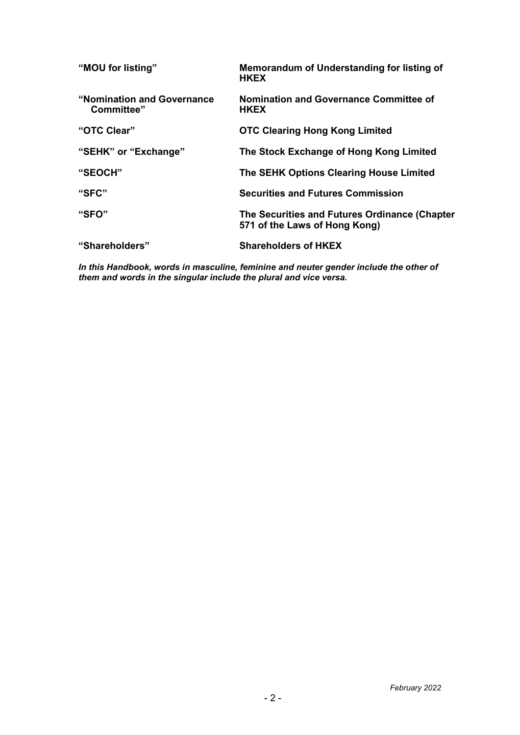| "MOU for listing"                        | Memorandum of Understanding for listing of<br><b>HKEX</b>                      |
|------------------------------------------|--------------------------------------------------------------------------------|
| "Nomination and Governance<br>Committee" | Nomination and Governance Committee of<br><b>HKEX</b>                          |
| "OTC Clear"                              | <b>OTC Clearing Hong Kong Limited</b>                                          |
| "SEHK" or "Exchange"                     | The Stock Exchange of Hong Kong Limited                                        |
| "SEOCH"                                  | The SEHK Options Clearing House Limited                                        |
| "SFC"                                    | <b>Securities and Futures Commission</b>                                       |
| "SFO"                                    | The Securities and Futures Ordinance (Chapter<br>571 of the Laws of Hong Kong) |
| "Shareholders"                           | <b>Shareholders of HKEX</b>                                                    |

*In this Handbook, words in masculine, feminine and neuter gender include the other of them and words in the singular include the plural and vice versa.*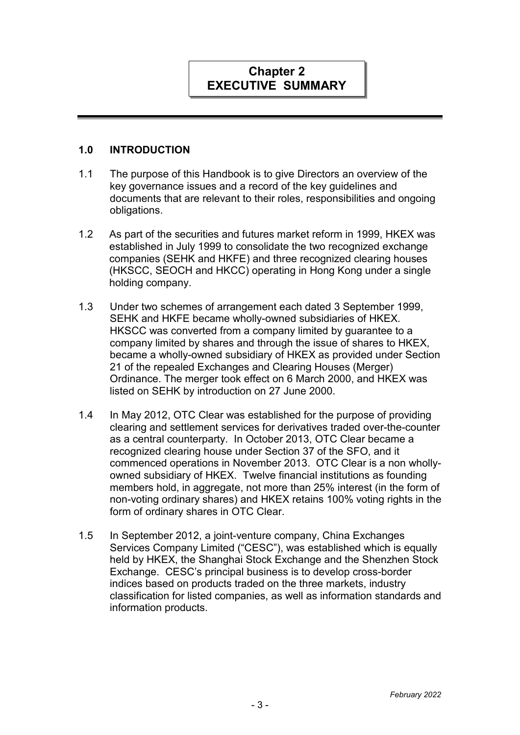# **Chapter 2 EXECUTIVE SUMMARY**

## **1.0 INTRODUCTION**

- 1.1 The purpose of this Handbook is to give Directors an overview of the key governance issues and a record of the key guidelines and documents that are relevant to their roles, responsibilities and ongoing obligations.
- 1.2 As part of the securities and futures market reform in 1999, HKEX was established in July 1999 to consolidate the two recognized exchange companies (SEHK and HKFE) and three recognized clearing houses (HKSCC, SEOCH and HKCC) operating in Hong Kong under a single holding company.
- 1.3 Under two schemes of arrangement each dated 3 September 1999, SEHK and HKFE became wholly-owned subsidiaries of HKEX. HKSCC was converted from a company limited by guarantee to a company limited by shares and through the issue of shares to HKEX, became a wholly-owned subsidiary of HKEX as provided under Section 21 of the repealed Exchanges and Clearing Houses (Merger) Ordinance. The merger took effect on 6 March 2000, and HKEX was listed on SEHK by introduction on 27 June 2000.
- 1.4 In May 2012, OTC Clear was established for the purpose of providing clearing and settlement services for derivatives traded over-the-counter as a central counterparty. In October 2013, OTC Clear became a recognized clearing house under Section 37 of the SFO, and it commenced operations in November 2013. OTC Clear is a non whollyowned subsidiary of HKEX. Twelve financial institutions as founding members hold, in aggregate, not more than 25% interest (in the form of non-voting ordinary shares) and HKEX retains 100% voting rights in the form of ordinary shares in OTC Clear.
- 1.5 In September 2012, a joint-venture company, China Exchanges Services Company Limited ("CESC"), was established which is equally held by HKEX, the Shanghai Stock Exchange and the Shenzhen Stock Exchange. CESC's principal business is to develop cross-border indices based on products traded on the three markets, industry classification for listed companies, as well as information standards and information products.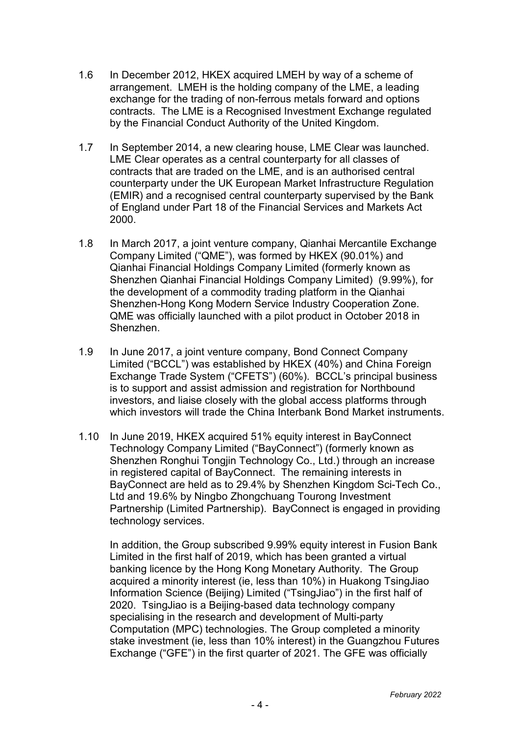- 1.6 In December 2012, HKEX acquired LMEH by way of a scheme of arrangement. LMEH is the holding company of the LME, a leading exchange for the trading of non-ferrous metals forward and options contracts. The LME is a Recognised Investment Exchange regulated by the Financial Conduct Authority of the United Kingdom.
- 1.7 In September 2014, a new clearing house, LME Clear was launched. LME Clear operates as a central counterparty for all classes of contracts that are traded on the LME, and is an authorised central counterparty under the UK European Market Infrastructure Regulation (EMIR) and a recognised central counterparty supervised by the Bank of England under Part 18 of the Financial Services and Markets Act 2000.
- 1.8 In March 2017, a joint venture company, Qianhai Mercantile Exchange Company Limited ("QME"), was formed by HKEX (90.01%) and Qianhai Financial Holdings Company Limited (formerly known as Shenzhen Qianhai Financial Holdings Company Limited) (9.99%), for the development of a commodity trading platform in the Qianhai Shenzhen-Hong Kong Modern Service Industry Cooperation Zone. QME was officially launched with a pilot product in October 2018 in Shenzhen.
- 1.9 In June 2017, a joint venture company, Bond Connect Company Limited ("BCCL") was established by HKEX (40%) and China Foreign Exchange Trade System ("CFETS") (60%). BCCL's principal business is to support and assist admission and registration for Northbound investors, and liaise closely with the global access platforms through which investors will trade the China Interbank Bond Market instruments.
- 1.10 In June 2019, HKEX acquired 51% equity interest in BayConnect Technology Company Limited ("BayConnect") (formerly known as Shenzhen Ronghui Tongjin Technology Co., Ltd.) through an increase in registered capital of BayConnect. The remaining interests in BayConnect are held as to 29.4% by Shenzhen Kingdom Sci-Tech Co., Ltd and 19.6% by Ningbo Zhongchuang Tourong Investment Partnership (Limited Partnership). BayConnect is engaged in providing technology services.

In addition, the Group subscribed 9.99% equity interest in Fusion Bank Limited in the first half of 2019, which has been granted a virtual banking licence by the Hong Kong Monetary Authority. The Group acquired a minority interest (ie, less than 10%) in Huakong TsingJiao Information Science (Beijing) Limited ("TsingJiao") in the first half of 2020. TsingJiao is a Beijing-based data technology company specialising in the research and development of Multi-party Computation (MPC) technologies. The Group completed a minority stake investment (ie, less than 10% interest) in the Guangzhou Futures Exchange ("GFE") in the first quarter of 2021. The GFE was officially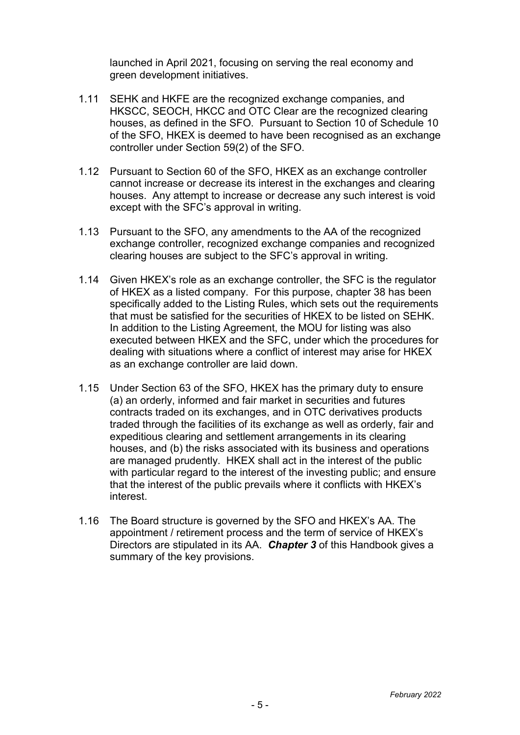launched in April 2021, focusing on serving the real economy and green development initiatives.

- 1.11 SEHK and HKFE are the recognized exchange companies, and HKSCC, SEOCH, HKCC and OTC Clear are the recognized clearing houses, as defined in the SFO. Pursuant to Section 10 of Schedule 10 of the SFO, HKEX is deemed to have been recognised as an exchange controller under Section 59(2) of the SFO.
- 1.12 Pursuant to Section 60 of the SFO, HKEX as an exchange controller cannot increase or decrease its interest in the exchanges and clearing houses. Any attempt to increase or decrease any such interest is void except with the SFC's approval in writing.
- 1.13 Pursuant to the SFO, any amendments to the AA of the recognized exchange controller, recognized exchange companies and recognized clearing houses are subject to the SFC's approval in writing.
- 1.14 Given HKEX's role as an exchange controller, the SFC is the regulator of HKEX as a listed company. For this purpose, chapter 38 has been specifically added to the Listing Rules, which sets out the requirements that must be satisfied for the securities of HKEX to be listed on SEHK. In addition to the Listing Agreement, the MOU for listing was also executed between HKEX and the SFC, under which the procedures for dealing with situations where a conflict of interest may arise for HKEX as an exchange controller are laid down.
- 1.15 Under Section 63 of the SFO, HKEX has the primary duty to ensure (a) an orderly, informed and fair market in securities and futures contracts traded on its exchanges, and in OTC derivatives products traded through the facilities of its exchange as well as orderly, fair and expeditious clearing and settlement arrangements in its clearing houses, and (b) the risks associated with its business and operations are managed prudently. HKEX shall act in the interest of the public with particular regard to the interest of the investing public; and ensure that the interest of the public prevails where it conflicts with HKEX's interest.
- 1.16 The Board structure is governed by the SFO and HKEX's AA. The appointment / retirement process and the term of service of HKEX's Directors are stipulated in its AA. *Chapter 3* of this Handbook gives a summary of the key provisions.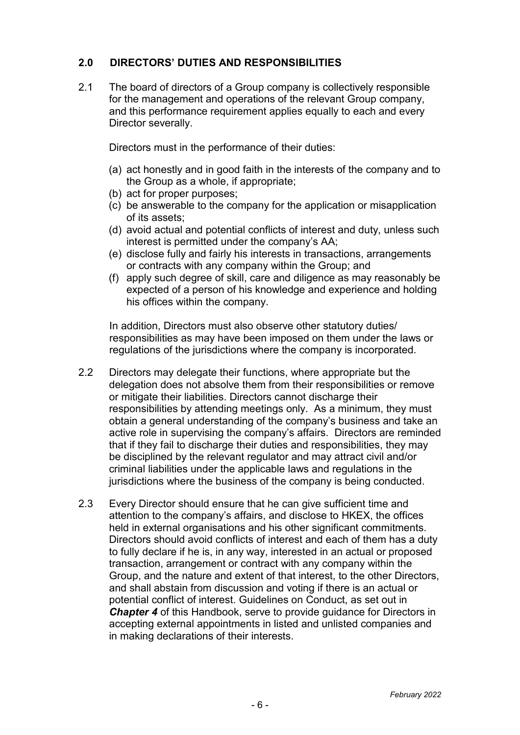# **2.0 DIRECTORS' DUTIES AND RESPONSIBILITIES**

2.1 The board of directors of a Group company is collectively responsible for the management and operations of the relevant Group company, and this performance requirement applies equally to each and every Director severally.

Directors must in the performance of their duties:

- (a) act honestly and in good faith in the interests of the company and to the Group as a whole, if appropriate;
- (b) act for proper purposes;
- (c) be answerable to the company for the application or misapplication of its assets;
- (d) avoid actual and potential conflicts of interest and duty, unless such interest is permitted under the company's AA;
- (e) disclose fully and fairly his interests in transactions, arrangements or contracts with any company within the Group; and
- (f) apply such degree of skill, care and diligence as may reasonably be expected of a person of his knowledge and experience and holding his offices within the company.

In addition, Directors must also observe other statutory duties/ responsibilities as may have been imposed on them under the laws or regulations of the jurisdictions where the company is incorporated.

- 2.2 Directors may delegate their functions, where appropriate but the delegation does not absolve them from their responsibilities or remove or mitigate their liabilities. Directors cannot discharge their responsibilities by attending meetings only. As a minimum, they must obtain a general understanding of the company's business and take an active role in supervising the company's affairs. Directors are reminded that if they fail to discharge their duties and responsibilities, they may be disciplined by the relevant regulator and may attract civil and/or criminal liabilities under the applicable laws and regulations in the jurisdictions where the business of the company is being conducted.
- 2.3 Every Director should ensure that he can give sufficient time and attention to the company's affairs, and disclose to HKEX, the offices held in external organisations and his other significant commitments. Directors should avoid conflicts of interest and each of them has a duty to fully declare if he is, in any way, interested in an actual or proposed transaction, arrangement or contract with any company within the Group, and the nature and extent of that interest, to the other Directors, and shall abstain from discussion and voting if there is an actual or potential conflict of interest. Guidelines on Conduct, as set out in **Chapter 4** of this Handbook, serve to provide guidance for Directors in accepting external appointments in listed and unlisted companies and in making declarations of their interests.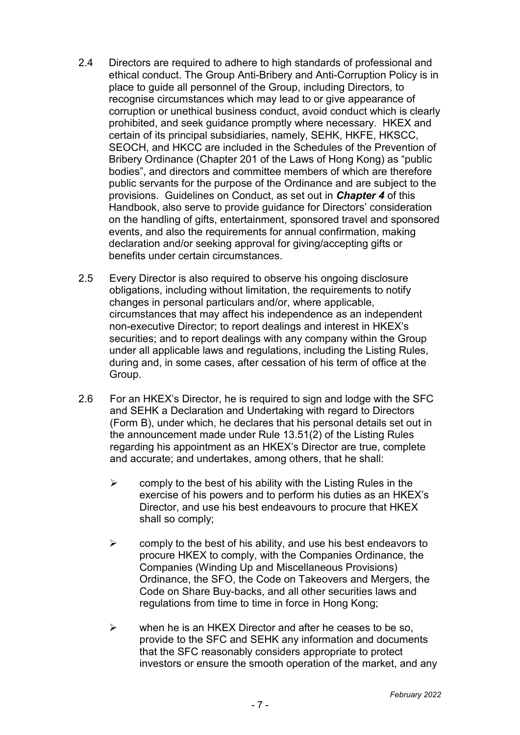- 2.4 Directors are required to adhere to high standards of professional and ethical conduct. The Group Anti-Bribery and Anti-Corruption Policy is in place to guide all personnel of the Group, including Directors, to recognise circumstances which may lead to or give appearance of corruption or unethical business conduct, avoid conduct which is clearly prohibited, and seek guidance promptly where necessary. HKEX and certain of its principal subsidiaries, namely, SEHK, HKFE, HKSCC, SEOCH, and HKCC are included in the Schedules of the Prevention of Bribery Ordinance (Chapter 201 of the Laws of Hong Kong) as "public bodies", and directors and committee members of which are therefore public servants for the purpose of the Ordinance and are subject to the provisions. Guidelines on Conduct, as set out in *Chapter 4* of this Handbook, also serve to provide guidance for Directors' consideration on the handling of gifts, entertainment, sponsored travel and sponsored events, and also the requirements for annual confirmation, making declaration and/or seeking approval for giving/accepting gifts or benefits under certain circumstances.
- 2.5 Every Director is also required to observe his ongoing disclosure obligations, including without limitation, the requirements to notify changes in personal particulars and/or, where applicable, circumstances that may affect his independence as an independent non-executive Director; to report dealings and interest in HKEX's securities; and to report dealings with any company within the Group under all applicable laws and regulations, including the Listing Rules, during and, in some cases, after cessation of his term of office at the Group.
- 2.6 For an HKEX's Director, he is required to sign and lodge with the SFC and SEHK a Declaration and Undertaking with regard to Directors (Form B), under which, he declares that his personal details set out in the announcement made under Rule 13.51(2) of the Listing Rules regarding his appointment as an HKEX's Director are true, complete and accurate; and undertakes, among others, that he shall:
	- $\triangleright$  comply to the best of his ability with the Listing Rules in the exercise of his powers and to perform his duties as an HKEX's Director, and use his best endeavours to procure that HKEX shall so comply;
	- $\triangleright$  comply to the best of his ability, and use his best endeavors to procure HKEX to comply, with the Companies Ordinance, the Companies (Winding Up and Miscellaneous Provisions) Ordinance, the SFO, the Code on Takeovers and Mergers, the Code on Share Buy-backs, and all other securities laws and regulations from time to time in force in Hong Kong;
	- $\triangleright$  when he is an HKEX Director and after he ceases to be so. provide to the SFC and SEHK any information and documents that the SFC reasonably considers appropriate to protect investors or ensure the smooth operation of the market, and any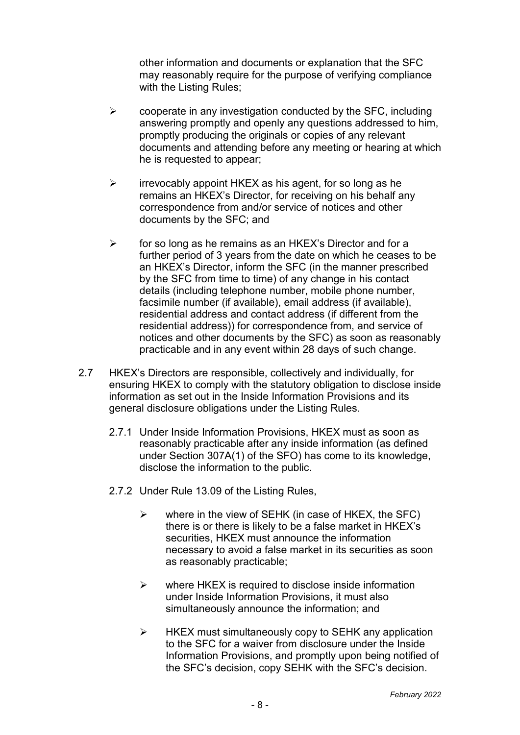other information and documents or explanation that the SFC may reasonably require for the purpose of verifying compliance with the Listing Rules;

- $\triangleright$  cooperate in any investigation conducted by the SFC, including answering promptly and openly any questions addressed to him, promptly producing the originals or copies of any relevant documents and attending before any meeting or hearing at which he is requested to appear;
- $\triangleright$  irrevocably appoint HKEX as his agent, for so long as he remains an HKEX's Director, for receiving on his behalf any correspondence from and/or service of notices and other documents by the SFC; and
- $\triangleright$  for so long as he remains as an HKEX's Director and for a further period of 3 years from the date on which he ceases to be an HKEX's Director, inform the SFC (in the manner prescribed by the SFC from time to time) of any change in his contact details (including telephone number, mobile phone number, facsimile number (if available), email address (if available), residential address and contact address (if different from the residential address)) for correspondence from, and service of notices and other documents by the SFC) as soon as reasonably practicable and in any event within 28 days of such change.
- 2.7 HKEX's Directors are responsible, collectively and individually, for ensuring HKEX to comply with the statutory obligation to disclose inside information as set out in the Inside Information Provisions and its general disclosure obligations under the Listing Rules.
	- 2.7.1 Under Inside Information Provisions, HKEX must as soon as reasonably practicable after any inside information (as defined under Section 307A(1) of the SFO) has come to its knowledge, disclose the information to the public.
	- 2.7.2 Under Rule 13.09 of the Listing Rules,
		- $\triangleright$  where in the view of SEHK (in case of HKEX, the SFC) there is or there is likely to be a false market in HKEX's securities, HKEX must announce the information necessary to avoid a false market in its securities as soon as reasonably practicable;
		- $\triangleright$  where HKEX is required to disclose inside information under Inside Information Provisions, it must also simultaneously announce the information; and
		- $\triangleright$  HKEX must simultaneously copy to SEHK any application to the SFC for a waiver from disclosure under the Inside Information Provisions, and promptly upon being notified of the SFC's decision, copy SEHK with the SFC's decision.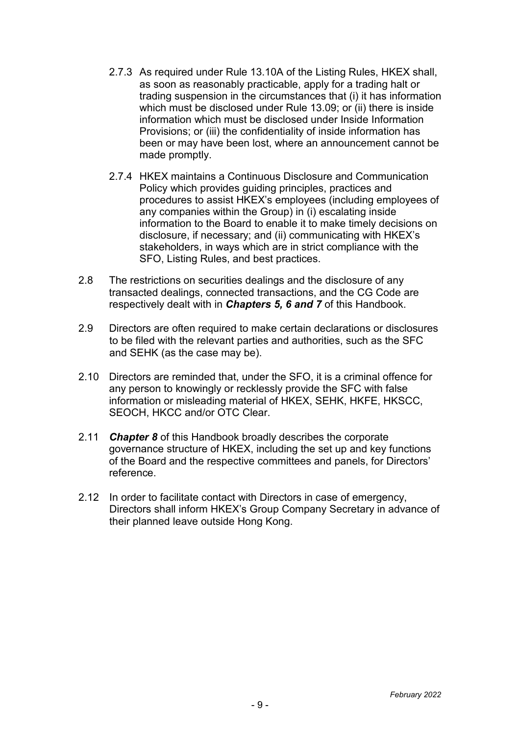- 2.7.3 As required under Rule 13.10A of the Listing Rules, HKEX shall, as soon as reasonably practicable, apply for a trading halt or trading suspension in the circumstances that (i) it has information which must be disclosed under Rule 13.09; or (ii) there is inside information which must be disclosed under Inside Information Provisions; or (iii) the confidentiality of inside information has been or may have been lost, where an announcement cannot be made promptly.
- 2.7.4 HKEX maintains a Continuous Disclosure and Communication Policy which provides guiding principles, practices and procedures to assist HKEX's employees (including employees of any companies within the Group) in (i) escalating inside information to the Board to enable it to make timely decisions on disclosure, if necessary; and (ii) communicating with HKEX's stakeholders, in ways which are in strict compliance with the SFO, Listing Rules, and best practices.
- 2.8 The restrictions on securities dealings and the disclosure of any transacted dealings, connected transactions, and the CG Code are respectively dealt with in *Chapters 5, 6 and 7* of this Handbook.
- 2.9 Directors are often required to make certain declarations or disclosures to be filed with the relevant parties and authorities, such as the SFC and SEHK (as the case may be).
- 2.10 Directors are reminded that, under the SFO, it is a criminal offence for any person to knowingly or recklessly provide the SFC with false information or misleading material of HKEX, SEHK, HKFE, HKSCC, SEOCH, HKCC and/or OTC Clear.
- 2.11 *Chapter 8* of this Handbook broadly describes the corporate governance structure of HKEX, including the set up and key functions of the Board and the respective committees and panels, for Directors' reference.
- 2.12 In order to facilitate contact with Directors in case of emergency, Directors shall inform HKEX's Group Company Secretary in advance of their planned leave outside Hong Kong.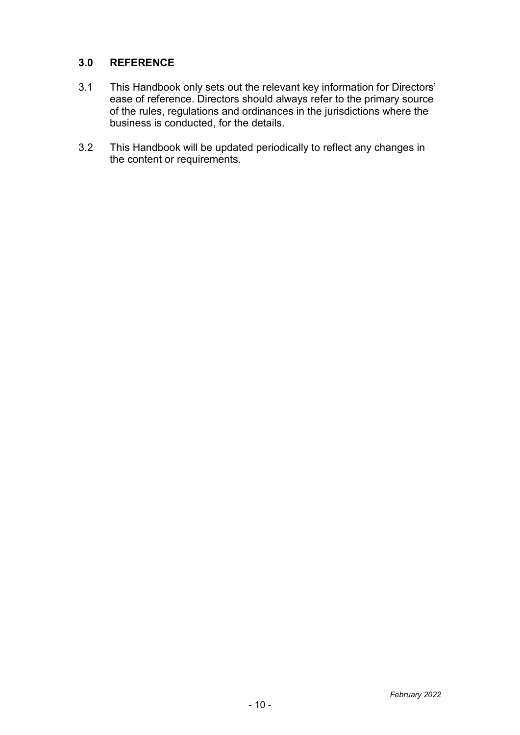# **3.0 REFERENCE**

- 3.1 This Handbook only sets out the relevant key information for Directors' ease of reference. Directors should always refer to the primary source of the rules, regulations and ordinances in the jurisdictions where the business is conducted, for the details.
- 3.2 This Handbook will be updated periodically to reflect any changes in the content or requirements.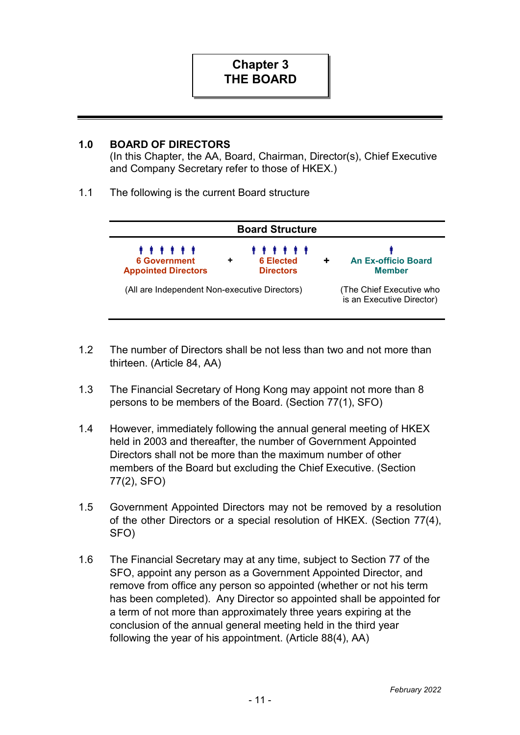## **1.0 BOARD OF DIRECTORS**

(In this Chapter, the AA, Board, Chairman, Director(s), Chief Executive and Company Secretary refer to those of HKEX.)

1.1 The following is the current Board structure

| <b>Board Structure</b>                                        |                                                  |                                                       |  |  |  |
|---------------------------------------------------------------|--------------------------------------------------|-------------------------------------------------------|--|--|--|
| <b>.</b><br><b>6 Government</b><br><b>Appointed Directors</b> | <b>.</b><br><b>6 Elected</b><br><b>Directors</b> | <b>An Ex-officio Board</b><br><b>Member</b>           |  |  |  |
| (All are Independent Non-executive Directors)                 |                                                  | (The Chief Executive who<br>is an Executive Director) |  |  |  |

- 1.2 The number of Directors shall be not less than two and not more than thirteen. (Article 84, AA)
- 1.3 The Financial Secretary of Hong Kong may appoint not more than 8 persons to be members of the Board. (Section 77(1), SFO)
- 1.4 However, immediately following the annual general meeting of HKEX held in 2003 and thereafter, the number of Government Appointed Directors shall not be more than the maximum number of other members of the Board but excluding the Chief Executive. (Section 77(2), SFO)
- 1.5 Government Appointed Directors may not be removed by a resolution of the other Directors or a special resolution of HKEX. (Section 77(4), SFO)
- 1.6 The Financial Secretary may at any time, subject to Section 77 of the SFO, appoint any person as a Government Appointed Director, and remove from office any person so appointed (whether or not his term has been completed). Any Director so appointed shall be appointed for a term of not more than approximately three years expiring at the conclusion of the annual general meeting held in the third year following the year of his appointment. (Article 88(4), AA)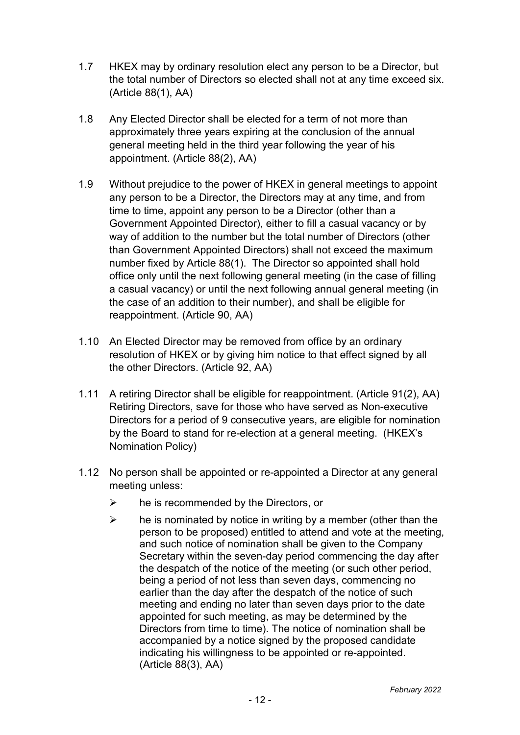- 1.7 HKEX may by ordinary resolution elect any person to be a Director, but the total number of Directors so elected shall not at any time exceed six. (Article 88(1), AA)
- 1.8 Any Elected Director shall be elected for a term of not more than approximately three years expiring at the conclusion of the annual general meeting held in the third year following the year of his appointment. (Article 88(2), AA)
- 1.9 Without prejudice to the power of HKEX in general meetings to appoint any person to be a Director, the Directors may at any time, and from time to time, appoint any person to be a Director (other than a Government Appointed Director), either to fill a casual vacancy or by way of addition to the number but the total number of Directors (other than Government Appointed Directors) shall not exceed the maximum number fixed by Article 88(1). The Director so appointed shall hold office only until the next following general meeting (in the case of filling a casual vacancy) or until the next following annual general meeting (in the case of an addition to their number), and shall be eligible for reappointment. (Article 90, AA)
- 1.10 An Elected Director may be removed from office by an ordinary resolution of HKEX or by giving him notice to that effect signed by all the other Directors. (Article 92, AA)
- 1.11 A retiring Director shall be eligible for reappointment. (Article 91(2), AA) Retiring Directors, save for those who have served as Non-executive Directors for a period of 9 consecutive years, are eligible for nomination by the Board to stand for re-election at a general meeting. (HKEX's Nomination Policy)
- 1.12 No person shall be appointed or re-appointed a Director at any general meeting unless:
	- $\triangleright$  he is recommended by the Directors, or
	- $\triangleright$  he is nominated by notice in writing by a member (other than the person to be proposed) entitled to attend and vote at the meeting, and such notice of nomination shall be given to the Company Secretary within the seven-day period commencing the day after the despatch of the notice of the meeting (or such other period, being a period of not less than seven days, commencing no earlier than the day after the despatch of the notice of such meeting and ending no later than seven days prior to the date appointed for such meeting, as may be determined by the Directors from time to time). The notice of nomination shall be accompanied by a notice signed by the proposed candidate indicating his willingness to be appointed or re-appointed. (Article 88(3), AA)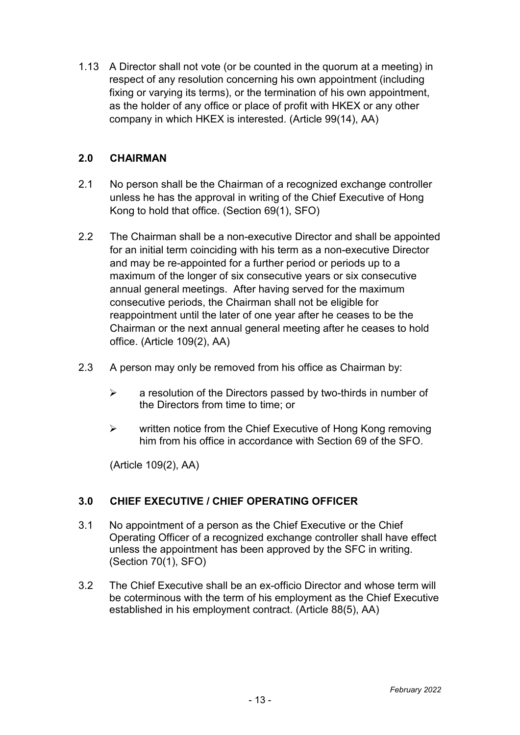1.13 A Director shall not vote (or be counted in the quorum at a meeting) in respect of any resolution concerning his own appointment (including fixing or varying its terms), or the termination of his own appointment, as the holder of any office or place of profit with HKEX or any other company in which HKEX is interested. (Article 99(14), AA)

# **2.0 CHAIRMAN**

- 2.1 No person shall be the Chairman of a recognized exchange controller unless he has the approval in writing of the Chief Executive of Hong Kong to hold that office. (Section 69(1), SFO)
- 2.2 The Chairman shall be a non-executive Director and shall be appointed for an initial term coinciding with his term as a non-executive Director and may be re-appointed for a further period or periods up to a maximum of the longer of six consecutive years or six consecutive annual general meetings. After having served for the maximum consecutive periods, the Chairman shall not be eligible for reappointment until the later of one year after he ceases to be the Chairman or the next annual general meeting after he ceases to hold office. (Article 109(2), AA)
- 2.3 A person may only be removed from his office as Chairman by:
	- $\triangleright$  a resolution of the Directors passed by two-thirds in number of the Directors from time to time; or
	- $\triangleright$  written notice from the Chief Executive of Hong Kong removing him from his office in accordance with Section 69 of the SFO.

(Article 109(2), AA)

# **3.0 CHIEF EXECUTIVE / CHIEF OPERATING OFFICER**

- 3.1 No appointment of a person as the Chief Executive or the Chief Operating Officer of a recognized exchange controller shall have effect unless the appointment has been approved by the SFC in writing. (Section 70(1), SFO)
- 3.2 The Chief Executive shall be an ex-officio Director and whose term will be coterminous with the term of his employment as the Chief Executive established in his employment contract. (Article 88(5), AA)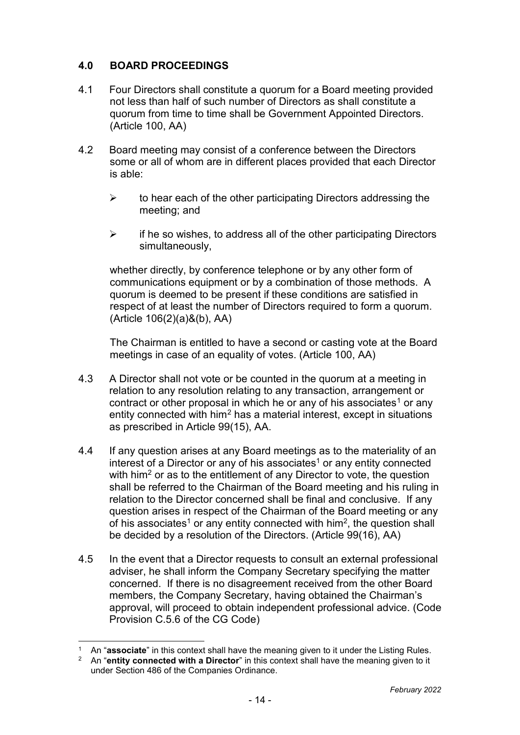# **4.0 BOARD PROCEEDINGS**

- 4.1 Four Directors shall constitute a quorum for a Board meeting provided not less than half of such number of Directors as shall constitute a quorum from time to time shall be Government Appointed Directors. (Article 100, AA)
- 4.2 Board meeting may consist of a conference between the Directors some or all of whom are in different places provided that each Director is able:
	- $\triangleright$  to hear each of the other participating Directors addressing the meeting; and
	- $\triangleright$  if he so wishes, to address all of the other participating Directors simultaneously,

whether directly, by conference telephone or by any other form of communications equipment or by a combination of those methods. A quorum is deemed to be present if these conditions are satisfied in respect of at least the number of Directors required to form a quorum. (Article 106(2)(a)&(b), AA)

The Chairman is entitled to have a second or casting vote at the Board meetings in case of an equality of votes. (Article 100, AA)

- 4.3 A Director shall not vote or be counted in the quorum at a meeting in relation to any resolution relating to any transaction, arrangement or contract or other proposal in which he or any of his associates<sup>[1](#page-17-0)</sup> or any entity connected with him<sup>[2](#page-17-1)</sup> has a material interest, except in situations as prescribed in Article 99(15), AA.
- 4.4 If any question arises at any Board meetings as to the materiality of an interest of a Director or any of his associates<sup>1</sup> or any entity connected with him<sup>2</sup> or as to the entitlement of any Director to vote, the question shall be referred to the Chairman of the Board meeting and his ruling in relation to the Director concerned shall be final and conclusive. If any question arises in respect of the Chairman of the Board meeting or any of his associates<sup>1</sup> or any entity connected with him<sup>2</sup>, the question shall be decided by a resolution of the Directors. (Article 99(16), AA)
- 4.5 In the event that a Director requests to consult an external professional adviser, he shall inform the Company Secretary specifying the matter concerned. If there is no disagreement received from the other Board members, the Company Secretary, having obtained the Chairman's approval, will proceed to obtain independent professional advice. (Code Provision C.5.6 of the CG Code)

<sup>-</sup><sup>1</sup> An "associate" in this context shall have the meaning given to it under the Listing Rules.

<sup>2</sup> An "**entity connected with a Director**" in this context shall have the meaning given to it under Section 486 of the Companies Ordinance.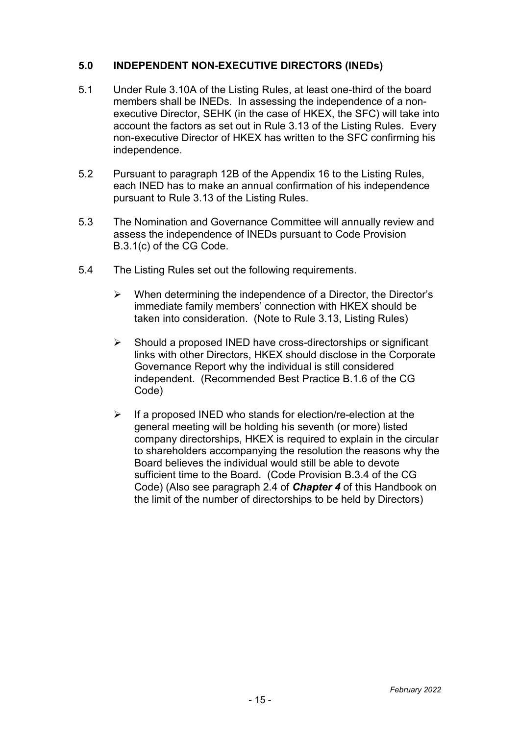## **5.0 INDEPENDENT NON-EXECUTIVE DIRECTORS (INEDs)**

- 5.1 Under Rule 3.10A of the Listing Rules, at least one-third of the board members shall be INEDs. In assessing the independence of a nonexecutive Director, SEHK (in the case of HKEX, the SFC) will take into account the factors as set out in Rule 3.13 of the Listing Rules. Every non-executive Director of HKEX has written to the SFC confirming his independence.
- 5.2 Pursuant to paragraph 12B of the Appendix 16 to the Listing Rules, each INED has to make an annual confirmation of his independence pursuant to Rule 3.13 of the Listing Rules.
- 5.3 The Nomination and Governance Committee will annually review and assess the independence of INEDs pursuant to Code Provision B.3.1(c) of the CG Code.
- 5.4 The Listing Rules set out the following requirements.
	- $\triangleright$  When determining the independence of a Director, the Director's immediate family members' connection with HKEX should be taken into consideration. (Note to Rule 3.13, Listing Rules)
	- $\triangleright$  Should a proposed INED have cross-directorships or significant links with other Directors, HKEX should disclose in the Corporate Governance Report why the individual is still considered independent. (Recommended Best Practice B.1.6 of the CG Code)
	- $\triangleright$  If a proposed INED who stands for election/re-election at the general meeting will be holding his seventh (or more) listed company directorships, HKEX is required to explain in the circular to shareholders accompanying the resolution the reasons why the Board believes the individual would still be able to devote sufficient time to the Board. (Code Provision B.3.4 of the CG Code) (Also see paragraph 2.4 of *Chapter 4* of this Handbook on the limit of the number of directorships to be held by Directors)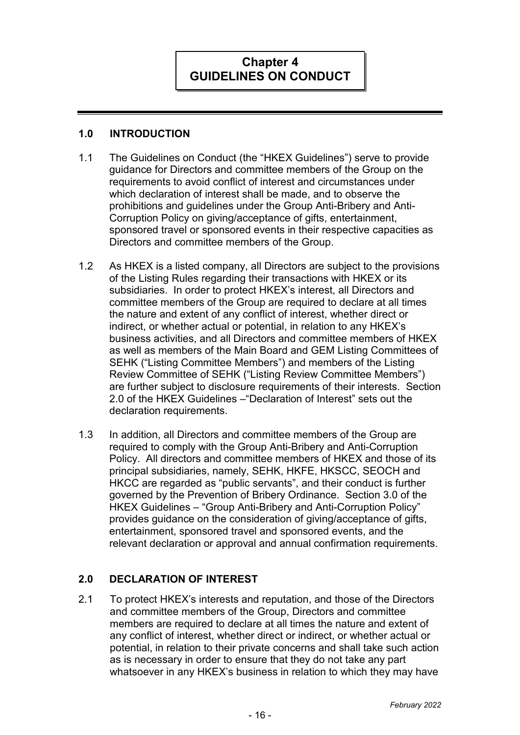

#### **1.0 INTRODUCTION**

- 1.1 The Guidelines on Conduct (the "HKEX Guidelines") serve to provide guidance for Directors and committee members of the Group on the requirements to avoid conflict of interest and circumstances under which declaration of interest shall be made, and to observe the prohibitions and guidelines under the Group Anti-Bribery and Anti-Corruption Policy on giving/acceptance of gifts, entertainment, sponsored travel or sponsored events in their respective capacities as Directors and committee members of the Group.
- 1.2 As HKEX is a listed company, all Directors are subject to the provisions of the Listing Rules regarding their transactions with HKEX or its subsidiaries. In order to protect HKEX's interest, all Directors and committee members of the Group are required to declare at all times the nature and extent of any conflict of interest, whether direct or indirect, or whether actual or potential, in relation to any HKEX's business activities, and all Directors and committee members of HKEX as well as members of the Main Board and GEM Listing Committees of SEHK ("Listing Committee Members") and members of the Listing Review Committee of SEHK ("Listing Review Committee Members") are further subject to disclosure requirements of their interests. Section 2.0 of the HKEX Guidelines –"Declaration of Interest" sets out the declaration requirements.
- 1.3 In addition, all Directors and committee members of the Group are required to comply with the Group Anti-Bribery and Anti-Corruption Policy. All directors and committee members of HKEX and those of its principal subsidiaries, namely, SEHK, HKFE, HKSCC, SEOCH and HKCC are regarded as "public servants", and their conduct is further governed by the Prevention of Bribery Ordinance. Section 3.0 of the HKEX Guidelines – "Group Anti-Bribery and Anti-Corruption Policy" provides guidance on the consideration of giving/acceptance of gifts, entertainment, sponsored travel and sponsored events, and the relevant declaration or approval and annual confirmation requirements.

# **2.0 DECLARATION OF INTEREST**

<span id="page-17-1"></span><span id="page-17-0"></span>2.1 To protect HKEX's interests and reputation, and those of the Directors and committee members of the Group, Directors and committee members are required to declare at all times the nature and extent of any conflict of interest, whether direct or indirect, or whether actual or potential, in relation to their private concerns and shall take such action as is necessary in order to ensure that they do not take any part whatsoever in any HKEX's business in relation to which they may have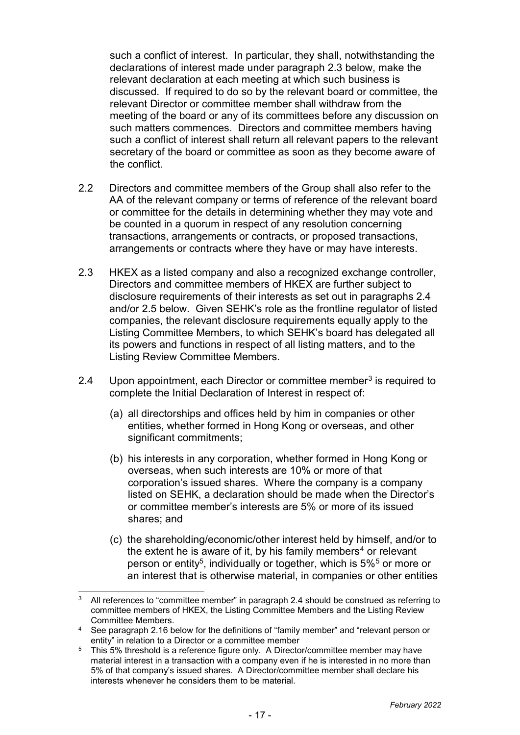such a conflict of interest. In particular, they shall, notwithstanding the declarations of interest made under paragraph 2.3 below, make the relevant declaration at each meeting at which such business is discussed. If required to do so by the relevant board or committee, the relevant Director or committee member shall withdraw from the meeting of the board or any of its committees before any discussion on such matters commences. Directors and committee members having such a conflict of interest shall return all relevant papers to the relevant secretary of the board or committee as soon as they become aware of the conflict.

- 2.2 Directors and committee members of the Group shall also refer to the AA of the relevant company or terms of reference of the relevant board or committee for the details in determining whether they may vote and be counted in a quorum in respect of any resolution concerning transactions, arrangements or contracts, or proposed transactions, arrangements or contracts where they have or may have interests.
- 2.3 HKEX as a listed company and also a recognized exchange controller, Directors and committee members of HKEX are further subject to disclosure requirements of their interests as set out in paragraphs 2.4 and/or 2.5 below. Given SEHK's role as the frontline regulator of listed companies, the relevant disclosure requirements equally apply to the Listing Committee Members, to which SEHK's board has delegated all its powers and functions in respect of all listing matters, and to the Listing Review Committee Members.
- 2.4 Upon appointment, each Director or committee member<sup>[3](#page-20-0)</sup> is required to complete the Initial Declaration of Interest in respect of:
	- (a) all directorships and offices held by him in companies or other entities, whether formed in Hong Kong or overseas, and other significant commitments;
	- (b) his interests in any corporation, whether formed in Hong Kong or overseas, when such interests are 10% or more of that corporation's issued shares. Where the company is a company listed on SEHK, a declaration should be made when the Director's or committee member's interests are 5% or more of its issued shares; and
	- (c) the shareholding/economic/other interest held by himself, and/or to the extent he is aware of it, by his family members<sup>[4](#page-20-1)</sup> or relevant person or entity<sup>[5](#page-20-2)</sup>, individually or together, which is 5%<sup>5</sup> or more or an interest that is otherwise material, in companies or other entities

j  $3$  All references to "committee member" in paragraph 2.4 should be construed as referring to committee members of HKEX, the Listing Committee Members and the Listing Review Committee Members.

<sup>4</sup> See paragraph 2.16 below for the definitions of "family member" and "relevant person or entity" in relation to a Director or a committee member

<sup>&</sup>lt;sup>5</sup> This 5% threshold is a reference figure only. A Director/committee member may have material interest in a transaction with a company even if he is interested in no more than 5% of that company's issued shares. A Director/committee member shall declare his interests whenever he considers them to be material.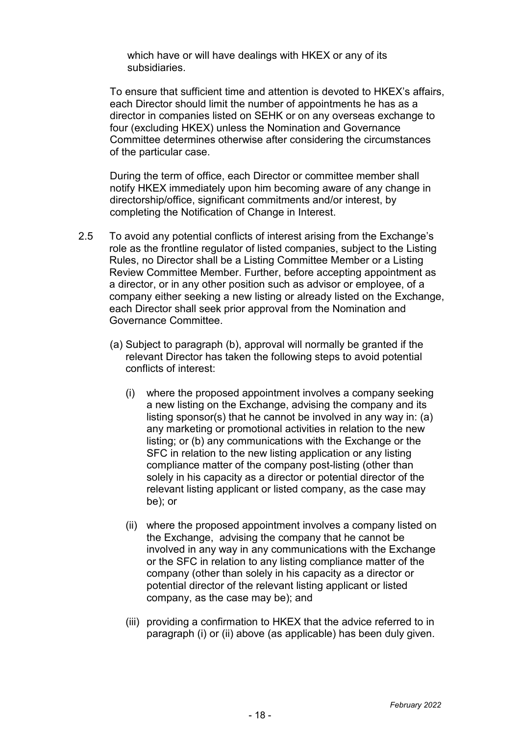which have or will have dealings with HKEX or any of its subsidiaries.

To ensure that sufficient time and attention is devoted to HKEX's affairs, each Director should limit the number of appointments he has as a director in companies listed on SEHK or on any overseas exchange to four (excluding HKEX) unless the Nomination and Governance Committee determines otherwise after considering the circumstances of the particular case.

During the term of office, each Director or committee member shall notify HKEX immediately upon him becoming aware of any change in directorship/office, significant commitments and/or interest, by completing the Notification of Change in Interest.

- 2.5 To avoid any potential conflicts of interest arising from the Exchange's role as the frontline regulator of listed companies, subject to the Listing Rules, no Director shall be a Listing Committee Member or a Listing Review Committee Member. Further, before accepting appointment as a director, or in any other position such as advisor or employee, of a company either seeking a new listing or already listed on the Exchange, each Director shall seek prior approval from the Nomination and Governance Committee.
	- (a) Subject to paragraph (b), approval will normally be granted if the relevant Director has taken the following steps to avoid potential conflicts of interest:
		- (i) where the proposed appointment involves a company seeking a new listing on the Exchange, advising the company and its listing sponsor(s) that he cannot be involved in any way in: (a) any marketing or promotional activities in relation to the new listing; or (b) any communications with the Exchange or the SFC in relation to the new listing application or any listing compliance matter of the company post-listing (other than solely in his capacity as a director or potential director of the relevant listing applicant or listed company, as the case may be); or
		- (ii) where the proposed appointment involves a company listed on the Exchange, advising the company that he cannot be involved in any way in any communications with the Exchange or the SFC in relation to any listing compliance matter of the company (other than solely in his capacity as a director or potential director of the relevant listing applicant or listed company, as the case may be); and
		- (iii) providing a confirmation to HKEX that the advice referred to in paragraph (i) or (ii) above (as applicable) has been duly given.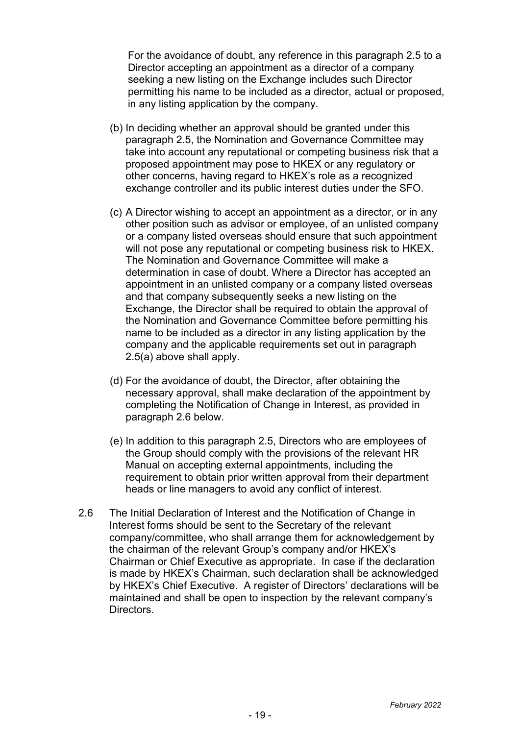For the avoidance of doubt, any reference in this paragraph 2.5 to a Director accepting an appointment as a director of a company seeking a new listing on the Exchange includes such Director permitting his name to be included as a director, actual or proposed, in any listing application by the company.

- (b) In deciding whether an approval should be granted under this paragraph 2.5, the Nomination and Governance Committee may take into account any reputational or competing business risk that a proposed appointment may pose to HKEX or any regulatory or other concerns, having regard to HKEX's role as a recognized exchange controller and its public interest duties under the SFO.
- (c) A Director wishing to accept an appointment as a director, or in any other position such as advisor or employee, of an unlisted company or a company listed overseas should ensure that such appointment will not pose any reputational or competing business risk to HKEX. The Nomination and Governance Committee will make a determination in case of doubt. Where a Director has accepted an appointment in an unlisted company or a company listed overseas and that company subsequently seeks a new listing on the Exchange, the Director shall be required to obtain the approval of the Nomination and Governance Committee before permitting his name to be included as a director in any listing application by the company and the applicable requirements set out in paragraph 2.5(a) above shall apply.
- (d) For the avoidance of doubt, the Director, after obtaining the necessary approval, shall make declaration of the appointment by completing the Notification of Change in Interest, as provided in paragraph 2.6 below.
- (e) In addition to this paragraph 2.5, Directors who are employees of the Group should comply with the provisions of the relevant HR Manual on accepting external appointments, including the requirement to obtain prior written approval from their department heads or line managers to avoid any conflict of interest.
- <span id="page-20-2"></span><span id="page-20-1"></span><span id="page-20-0"></span>2.6 The Initial Declaration of Interest and the Notification of Change in Interest forms should be sent to the Secretary of the relevant company/committee, who shall arrange them for acknowledgement by the chairman of the relevant Group's company and/or HKEX's Chairman or Chief Executive as appropriate. In case if the declaration is made by HKEX's Chairman, such declaration shall be acknowledged by HKEX's Chief Executive. A register of Directors' declarations will be maintained and shall be open to inspection by the relevant company's Directors.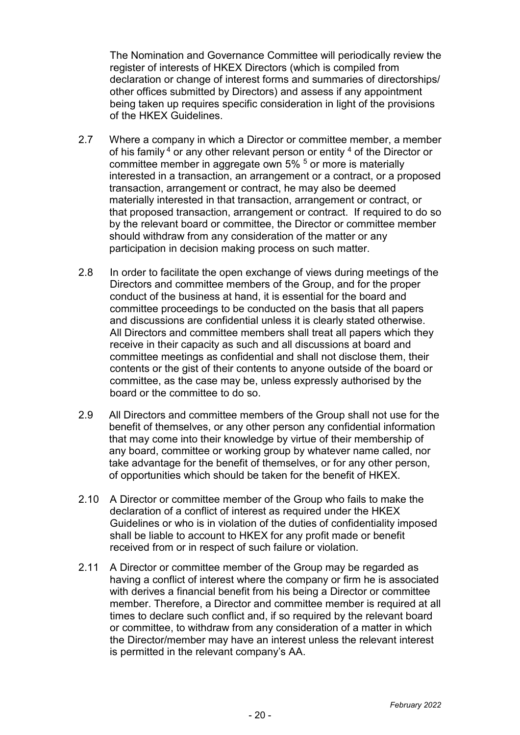The Nomination and Governance Committee will periodically review the register of interests of HKEX Directors (which is compiled from declaration or change of interest forms and summaries of directorships/ other offices submitted by Directors) and assess if any appointment being taken up requires specific consideration in light of the provisions of the HKEX Guidelines.

- 2.7 Where a company in which a Director or committee member, a member of his family  $4$  or any other relevant person or entity  $4$  of the Director or committee member in aggregate own 5% <sup>5</sup> or more is materially interested in a transaction, an arrangement or a contract, or a proposed transaction, arrangement or contract, he may also be deemed materially interested in that transaction, arrangement or contract, or that proposed transaction, arrangement or contract. If required to do so by the relevant board or committee, the Director or committee member should withdraw from any consideration of the matter or any participation in decision making process on such matter.
- 2.8 In order to facilitate the open exchange of views during meetings of the Directors and committee members of the Group, and for the proper conduct of the business at hand, it is essential for the board and committee proceedings to be conducted on the basis that all papers and discussions are confidential unless it is clearly stated otherwise. All Directors and committee members shall treat all papers which they receive in their capacity as such and all discussions at board and committee meetings as confidential and shall not disclose them, their contents or the gist of their contents to anyone outside of the board or committee, as the case may be, unless expressly authorised by the board or the committee to do so.
- 2.9 All Directors and committee members of the Group shall not use for the benefit of themselves, or any other person any confidential information that may come into their knowledge by virtue of their membership of any board, committee or working group by whatever name called, nor take advantage for the benefit of themselves, or for any other person, of opportunities which should be taken for the benefit of HKEX.
- 2.10 A Director or committee member of the Group who fails to make the declaration of a conflict of interest as required under the HKEX Guidelines or who is in violation of the duties of confidentiality imposed shall be liable to account to HKEX for any profit made or benefit received from or in respect of such failure or violation.
- 2.11 A Director or committee member of the Group may be regarded as having a conflict of interest where the company or firm he is associated with derives a financial benefit from his being a Director or committee member. Therefore, a Director and committee member is required at all times to declare such conflict and, if so required by the relevant board or committee, to withdraw from any consideration of a matter in which the Director/member may have an interest unless the relevant interest is permitted in the relevant company's AA.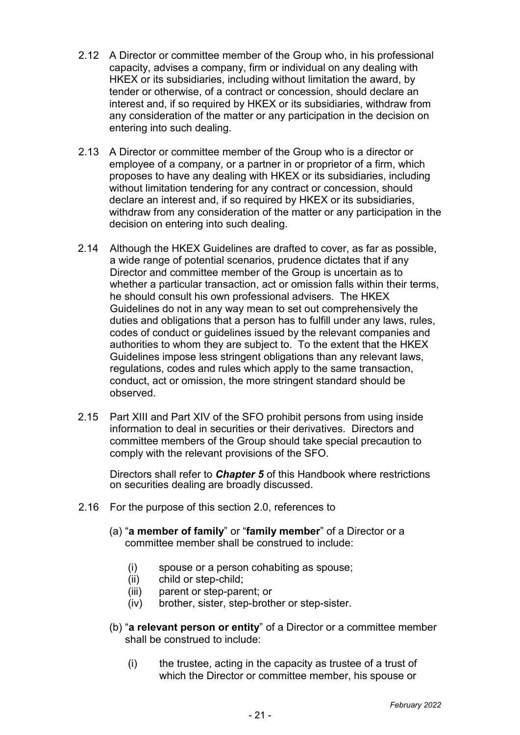- 2.12 A Director or committee member of the Group who, in his professional capacity, advises a company, firm or individual on any dealing with HKEX or its subsidiaries, including without limitation the award, by tender or otherwise, of a contract or concession, should declare an interest and, if so required by HKEX or its subsidiaries, withdraw from any consideration of the matter or any participation in the decision on entering into such dealing.
- 2.13 A Director or committee member of the Group who is a director or employee of a company, or a partner in or proprietor of a firm, which proposes to have any dealing with HKEX or its subsidiaries, including without limitation tendering for any contract or concession, should declare an interest and, if so required by HKEX or its subsidiaries, withdraw from any consideration of the matter or any participation in the decision on entering into such dealing.
- 2.14 Although the HKEX Guidelines are drafted to cover, as far as possible, a wide range of potential scenarios, prudence dictates that if any Director and committee member of the Group is uncertain as to whether a particular transaction, act or omission falls within their terms, he should consult his own professional advisers. The HKEX Guidelines do not in any way mean to set out comprehensively the duties and obligations that a person has to fulfill under any laws, rules, codes of conduct or guidelines issued by the relevant companies and authorities to whom they are subject to. To the extent that the HKEX Guidelines impose less stringent obligations than any relevant laws, regulations, codes and rules which apply to the same transaction, conduct, act or omission, the more stringent standard should be observed.
- 2.15 Part XIII and Part XIV of the SFO prohibit persons from using inside information to deal in securities or their derivatives. Directors and committee members of the Group should take special precaution to comply with the relevant provisions of the SFO.

Directors shall refer to *Chapter 5* of this Handbook where restrictions on securities dealing are broadly discussed.

- 2.16 For the purpose of this section 2.0, references to
	- (a) "**a member of family**" or "**family member**" of a Director or a committee member shall be construed to include:
		- (i) spouse or a person cohabiting as spouse;
		- (ii) child or step-child;
		- (iii) parent or step-parent; or
		- (iv) brother, sister, step-brother or step-sister.
	- (b) "**a relevant person or entity**" of a Director or a committee member shall be construed to include:
		- (i) the trustee, acting in the capacity as trustee of a trust of which the Director or committee member, his spouse or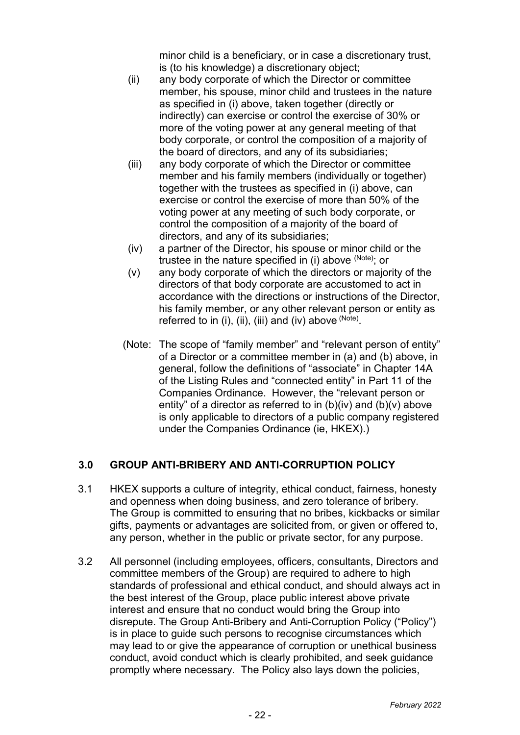minor child is a beneficiary, or in case a discretionary trust, is (to his knowledge) a discretionary object;

- (ii) any body corporate of which the Director or committee member, his spouse, minor child and trustees in the nature as specified in (i) above, taken together (directly or indirectly) can exercise or control the exercise of 30% or more of the voting power at any general meeting of that body corporate, or control the composition of a majority of the board of directors, and any of its subsidiaries;
- (iii) any body corporate of which the Director or committee member and his family members (individually or together) together with the trustees as specified in (i) above, can exercise or control the exercise of more than 50% of the voting power at any meeting of such body corporate, or control the composition of a majority of the board of directors, and any of its subsidiaries;
- (iv) a partner of the Director, his spouse or minor child or the trustee in the nature specified in (i) above  $(Note)$ ; or
- (v) any body corporate of which the directors or majority of the directors of that body corporate are accustomed to act in accordance with the directions or instructions of the Director, his family member, or any other relevant person or entity as referred to in (i), (ii), (iii) and (iv) above  $(Note)$ .
- (Note: The scope of "family member" and "relevant person of entity" of a Director or a committee member in (a) and (b) above, in general, follow the definitions of "associate" in Chapter 14A of the Listing Rules and "connected entity" in Part 11 of the Companies Ordinance. However, the "relevant person or entity" of a director as referred to in  $(b)(iv)$  and  $(b)(v)$  above is only applicable to directors of a public company registered under the Companies Ordinance (ie, HKEX).)

# **3.0 GROUP ANTI-BRIBERY AND ANTI-CORRUPTION POLICY**

- 3.1 HKEX supports a culture of integrity, ethical conduct, fairness, honesty and openness when doing business, and zero tolerance of bribery. The Group is committed to ensuring that no bribes, kickbacks or similar gifts, payments or advantages are solicited from, or given or offered to, any person, whether in the public or private sector, for any purpose.
- 3.2 All personnel (including employees, officers, consultants, Directors and committee members of the Group) are required to adhere to high standards of professional and ethical conduct, and should always act in the best interest of the Group, place public interest above private interest and ensure that no conduct would bring the Group into disrepute. The Group Anti-Bribery and Anti-Corruption Policy ("Policy") is in place to guide such persons to recognise circumstances which may lead to or give the appearance of corruption or unethical business conduct, avoid conduct which is clearly prohibited, and seek guidance promptly where necessary. The Policy also lays down the policies,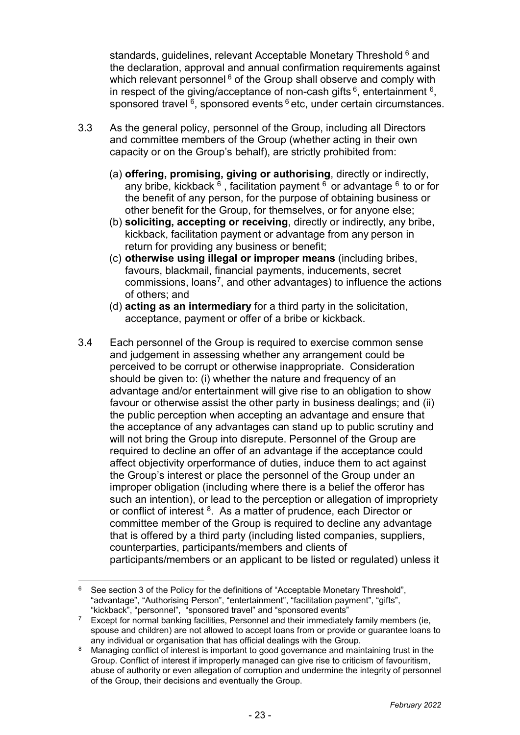standards, quidelines, relevant Acceptable Monetary Threshold <sup>[6](#page-28-0)</sup> and the declaration, approval and annual confirmation requirements against which relevant personnel  $6$  of the Group shall observe and comply with in respect of the giving/acceptance of non-cash gifts  $6$ , entertainment  $6$ , sponsored travel  $6$ , sponsored events  $6$  etc, under certain circumstances.

- 3.3 As the general policy, personnel of the Group, including all Directors and committee members of the Group (whether acting in their own capacity or on the Group's behalf), are strictly prohibited from:
	- (a) **offering, promising, giving or authorising**, directly or indirectly, any bribe, kickback  $6$ , facilitation payment  $6$  or advantage  $6$  to or for the benefit of any person, for the purpose of obtaining business or other benefit for the Group, for themselves, or for anyone else;
	- (b) **soliciting, accepting or receiving**, directly or indirectly, any bribe, kickback, facilitation payment or advantage from any person in return for providing any business or benefit;
	- (c) **otherwise using illegal or improper means** (including bribes, favours, blackmail, financial payments, inducements, secret commissions, loans[7,](#page-28-1) and other advantages) to influence the actions of others; and
	- (d) **acting as an intermediary** for a third party in the solicitation, acceptance, payment or offer of a bribe or kickback.
- 3.4 Each personnel of the Group is required to exercise common sense and judgement in assessing whether any arrangement could be perceived to be corrupt or otherwise inappropriate. Consideration should be given to: (i) whether the nature and frequency of an advantage and/or entertainment will give rise to an obligation to show favour or otherwise assist the other party in business dealings; and (ii) the public perception when accepting an advantage and ensure that the acceptance of any advantages can stand up to public scrutiny and will not bring the Group into disrepute. Personnel of the Group are required to decline an offer of an advantage if the acceptance could affect objectivity orperformance of duties, induce them to act against the Group's interest or place the personnel of the Group under an improper obligation (including where there is a belief the offeror has such an intention), or lead to the perception or allegation of impropriety or conflict of interest  $^8$  $^8$ . As a matter of prudence, each Director or committee member of the Group is required to decline any advantage that is offered by a third party (including listed companies, suppliers, counterparties, participants/members and clients of participants/members or an applicant to be listed or regulated) unless it

 $6$  See section 3 of the Policy for the definitions of "Acceptable Monetary Threshold", "advantage", "Authorising Person", "entertainment", "facilitation payment", "gifts", "kickback", "personnel", "sponsored travel" and "sponsored events"

<sup>7</sup> Except for normal banking facilities, Personnel and their immediately family members (ie, spouse and children) are not allowed to accept loans from or provide or guarantee loans to any individual or organisation that has official dealings with the Group.

<sup>8</sup> Managing conflict of interest is important to good governance and maintaining trust in the Group. Conflict of interest if improperly managed can give rise to criticism of favouritism, abuse of authority or even allegation of corruption and undermine the integrity of personnel of the Group, their decisions and eventually the Group.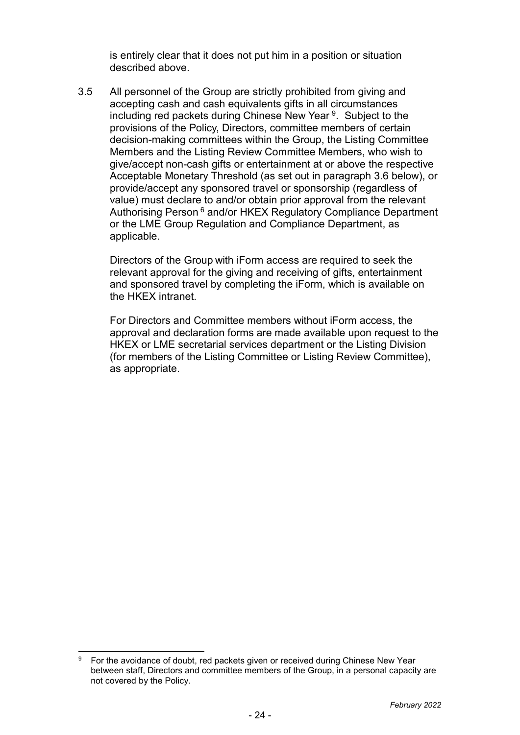is entirely clear that it does not put him in a position or situation described above.

3.5 All personnel of the Group are strictly prohibited from giving and accepting cash and cash equivalents gifts in all circumstances including red packets during Chinese New Year <sup>9</sup>. Subject to the provisions of the Policy, Directors, committee members of certain decision-making committees within the Group, the Listing Committee Members and the Listing Review Committee Members, who wish to give/accept non-cash gifts or entertainment at or above the respective Acceptable Monetary Threshold (as set out in paragraph 3.6 below), or provide/accept any sponsored travel or sponsorship (regardless of value) must declare to and/or obtain prior approval from the relevant Authorising Person 6 and/or HKEX Regulatory Compliance Department or the LME Group Regulation and Compliance Department, as applicable.

Directors of the Group with iForm access are required to seek the relevant approval for the giving and receiving of gifts, entertainment and sponsored travel by completing the iForm, which is available on the HKEX intranet.

For Directors and Committee members without iForm access, the approval and declaration forms are made available upon request to the HKEX or LME secretarial services department or the Listing Division (for members of the Listing Committee or Listing Review Committee), as appropriate.

<sup>&</sup>lt;sup>9</sup> For the avoidance of doubt, red packets given or received during Chinese New Year between staff, Directors and committee members of the Group, in a personal capacity are not covered by the Policy.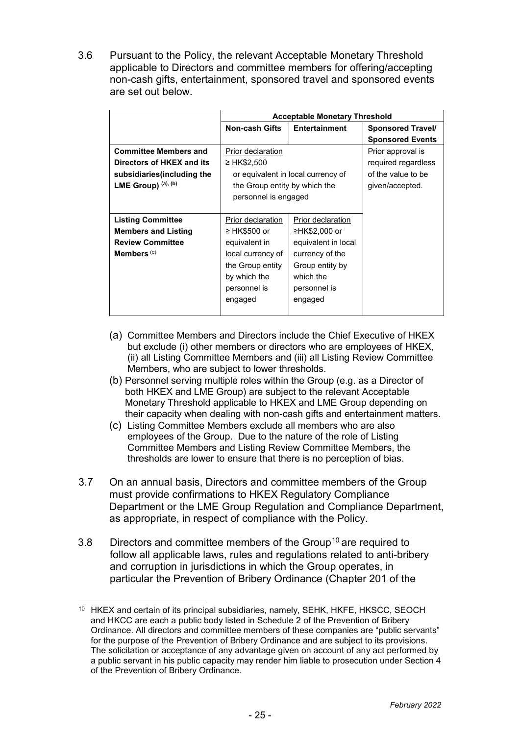3.6 Pursuant to the Policy, the relevant Acceptable Monetary Threshold applicable to Directors and committee members for offering/accepting non-cash gifts, entertainment, sponsored travel and sponsored events are set out below.

|                              | <b>Acceptable Monetary Threshold</b> |                                    |                          |  |
|------------------------------|--------------------------------------|------------------------------------|--------------------------|--|
|                              | <b>Non-cash Gifts</b>                | Entertainment                      | <b>Sponsored Travel/</b> |  |
|                              |                                      |                                    | <b>Sponsored Events</b>  |  |
| <b>Committee Members and</b> | Prior declaration                    |                                    | Prior approval is        |  |
| Directors of HKEX and its    | ≥ HK\$2,500                          |                                    | required regardless      |  |
| subsidiaries (including the  |                                      | or equivalent in local currency of | of the value to be       |  |
| LME Group) (a), (b)          | the Group entity by which the        |                                    | given/accepted.          |  |
|                              | personnel is engaged                 |                                    |                          |  |
|                              |                                      |                                    |                          |  |
| <b>Listing Committee</b>     | Prior declaration                    | Prior declaration                  |                          |  |
| <b>Members and Listing</b>   | ≥ HK\$500 or                         | ≥HK\$2,000 or                      |                          |  |
| <b>Review Committee</b>      | equivalent in                        | equivalent in local                |                          |  |
| Members <sup>(c)</sup>       | local currency of                    | currency of the                    |                          |  |
|                              | the Group entity                     | Group entity by                    |                          |  |
|                              | by which the                         | which the                          |                          |  |
|                              | personnel is                         | personnel is                       |                          |  |
|                              | engaged                              | engaged                            |                          |  |
|                              |                                      |                                    |                          |  |

- (a) Committee Members and Directors include the Chief Executive of HKEX but exclude (i) other members or directors who are employees of HKEX, (ii) all Listing Committee Members and (iii) all Listing Review Committee Members, who are subject to lower thresholds.
- (b) Personnel serving multiple roles within the Group (e.g. as a Director of both HKEX and LME Group) are subject to the relevant Acceptable Monetary Threshold applicable to HKEX and LME Group depending on their capacity when dealing with non-cash gifts and entertainment matters.
- (c) Listing Committee Members exclude all members who are also employees of the Group. Due to the nature of the role of Listing Committee Members and Listing Review Committee Members, the thresholds are lower to ensure that there is no perception of bias.
- 3.7 On an annual basis, Directors and committee members of the Group must provide confirmations to HKEX Regulatory Compliance Department or the LME Group Regulation and Compliance Department, as appropriate, in respect of compliance with the Policy.
- 3.8 Directors and committee members of the Group<sup>[10](#page-30-0)</sup> are required to follow all applicable laws, rules and regulations related to anti-bribery and corruption in jurisdictions in which the Group operates, in particular the Prevention of Bribery Ordinance (Chapter 201 of the

<sup>&</sup>lt;sup>10</sup> HKEX and certain of its principal subsidiaries, namely, SEHK, HKFE, HKSCC, SEOCH and HKCC are each a public body listed in Schedule 2 of the Prevention of Bribery Ordinance. All directors and committee members of these companies are "public servants" for the purpose of the Prevention of Bribery Ordinance and are subject to its provisions. The solicitation or acceptance of any advantage given on account of any act performed by a public servant in his public capacity may render him liable to prosecution under Section 4 of the Prevention of Bribery Ordinance.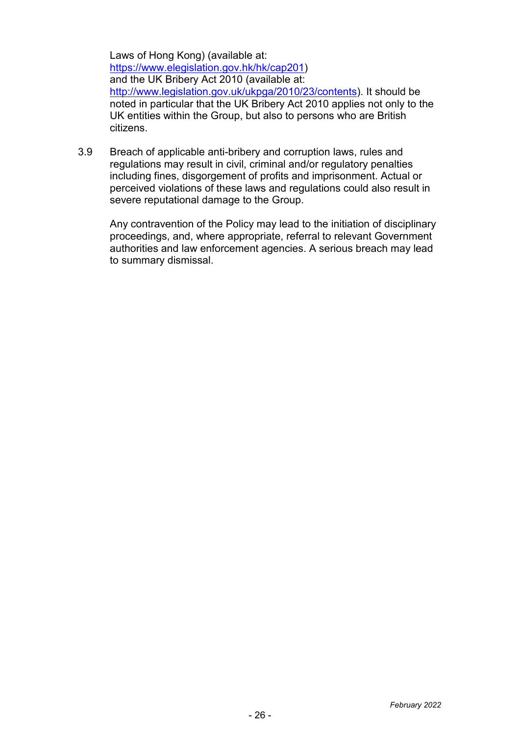Laws of Hong Kong) (available at: [https://www.elegislation.gov.hk/hk/cap201\)](https://www.elegislation.gov.hk/hk/cap201) and the UK Bribery Act 2010 (available at: [http://www.legislation.gov.uk/ukpga/2010/23/contents\)](http://www.legislation.gov.uk/ukpga/2010/23/contents). It should be noted in particular that the UK Bribery Act 2010 applies not only to the UK entities within the Group, but also to persons who are British citizens.

3.9 Breach of applicable anti-bribery and corruption laws, rules and regulations may result in civil, criminal and/or regulatory penalties including fines, disgorgement of profits and imprisonment. Actual or perceived violations of these laws and regulations could also result in severe reputational damage to the Group.

Any contravention of the Policy may lead to the initiation of disciplinary proceedings, and, where appropriate, referral to relevant Government authorities and law enforcement agencies. A serious breach may lead to summary dismissal.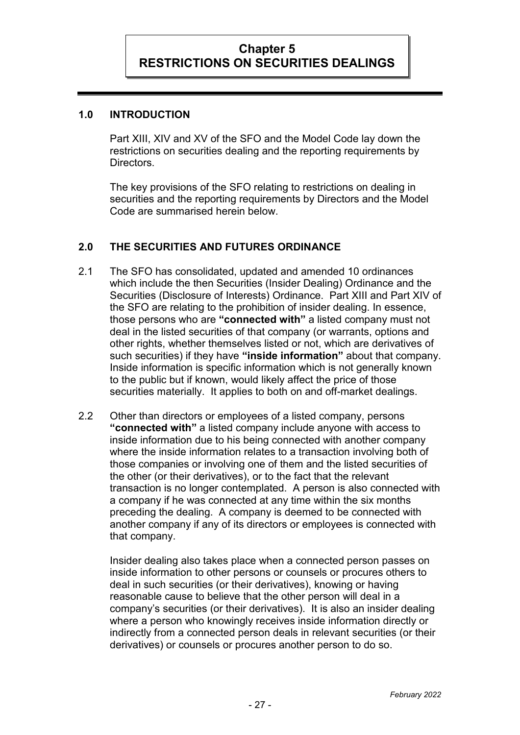## **1.0 INTRODUCTION**

Part XIII, XIV and XV of the SFO and the Model Code lay down the restrictions on securities dealing and the reporting requirements by Directors.

The key provisions of the SFO relating to restrictions on dealing in securities and the reporting requirements by Directors and the Model Code are summarised herein below.

# **2.0 THE SECURITIES AND FUTURES ORDINANCE**

- 2.1 The SFO has consolidated, updated and amended 10 ordinances which include the then Securities (Insider Dealing) Ordinance and the Securities (Disclosure of Interests) Ordinance. Part XIII and Part XIV of the SFO are relating to the prohibition of insider dealing. In essence, those persons who are **"connected with"** a listed company must not deal in the listed securities of that company (or warrants, options and other rights, whether themselves listed or not, which are derivatives of such securities) if they have **"inside information"** about that company. Inside information is specific information which is not generally known to the public but if known, would likely affect the price of those securities materially. It applies to both on and off-market dealings.
- 2.2 Other than directors or employees of a listed company, persons **"connected with"** a listed company include anyone with access to inside information due to his being connected with another company where the inside information relates to a transaction involving both of those companies or involving one of them and the listed securities of the other (or their derivatives), or to the fact that the relevant transaction is no longer contemplated. A person is also connected with a company if he was connected at any time within the six months preceding the dealing. A company is deemed to be connected with another company if any of its directors or employees is connected with that company.

<span id="page-28-2"></span><span id="page-28-1"></span><span id="page-28-0"></span>Insider dealing also takes place when a connected person passes on inside information to other persons or counsels or procures others to deal in such securities (or their derivatives), knowing or having reasonable cause to believe that the other person will deal in a company's securities (or their derivatives). It is also an insider dealing where a person who knowingly receives inside information directly or indirectly from a connected person deals in relevant securities (or their derivatives) or counsels or procures another person to do so.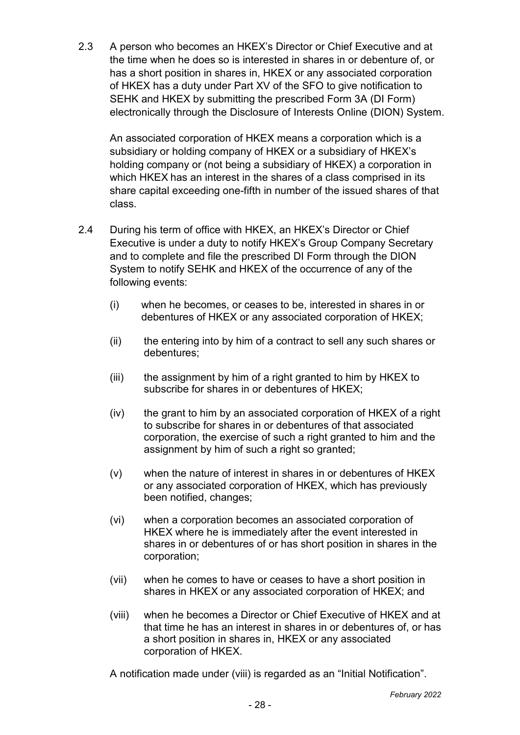2.3 A person who becomes an HKEX's Director or Chief Executive and at the time when he does so is interested in shares in or debenture of, or has a short position in shares in, HKEX or any associated corporation of HKEX has a duty under Part XV of the SFO to give notification to SEHK and HKEX by submitting the prescribed Form 3A (DI Form) electronically through the Disclosure of Interests Online (DION) System.

An associated corporation of HKEX means a corporation which is a subsidiary or holding company of HKEX or a subsidiary of HKEX's holding company or (not being a subsidiary of HKEX) a corporation in which HKEX has an interest in the shares of a class comprised in its share capital exceeding one-fifth in number of the issued shares of that class.

- 2.4 During his term of office with HKEX, an HKEX's Director or Chief Executive is under a duty to notify HKEX's Group Company Secretary and to complete and file the prescribed DI Form through the DION System to notify SEHK and HKEX of the occurrence of any of the following events:
	- (i) when he becomes, or ceases to be, interested in shares in or debentures of HKEX or any associated corporation of HKEX;
	- (ii) the entering into by him of a contract to sell any such shares or debentures;
	- (iii) the assignment by him of a right granted to him by HKEX to subscribe for shares in or debentures of HKEX;
	- (iv) the grant to him by an associated corporation of HKEX of a right to subscribe for shares in or debentures of that associated corporation, the exercise of such a right granted to him and the assignment by him of such a right so granted;
	- (v) when the nature of interest in shares in or debentures of HKEX or any associated corporation of HKEX, which has previously been notified, changes;
	- (vi) when a corporation becomes an associated corporation of HKEX where he is immediately after the event interested in shares in or debentures of or has short position in shares in the corporation;
	- (vii) when he comes to have or ceases to have a short position in shares in HKEX or any associated corporation of HKEX; and
	- (viii) when he becomes a Director or Chief Executive of HKEX and at that time he has an interest in shares in or debentures of, or has a short position in shares in, HKEX or any associated corporation of HKEX.

<span id="page-29-0"></span>A notification made under (viii) is regarded as an "Initial Notification".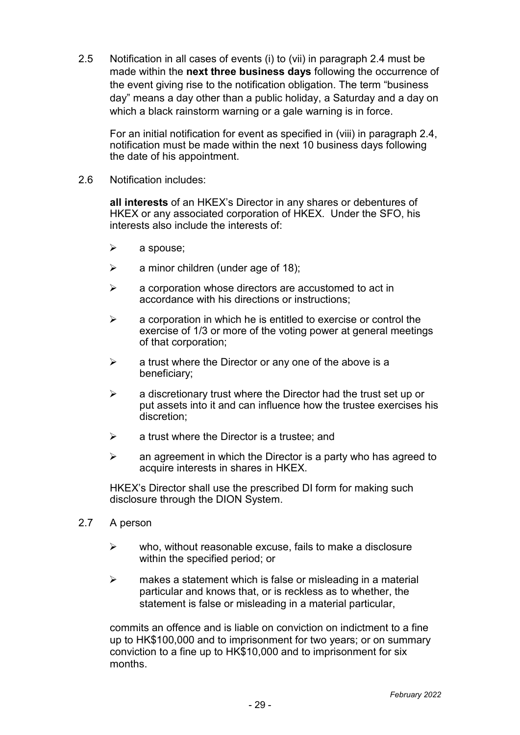2.5 Notification in all cases of events (i) to (vii) in paragraph 2.4 must be made within the **next three business days** following the occurrence of the event giving rise to the notification obligation. The term "business day" means a day other than a public holiday, a Saturday and a day on which a black rainstorm warning or a gale warning is in force.

For an initial notification for event as specified in (viii) in paragraph 2.4, notification must be made within the next 10 business days following the date of his appointment.

2.6 Notification includes:

**all interests** of an HKEX's Director in any shares or debentures of HKEX or any associated corporation of HKEX. Under the SFO, his interests also include the interests of:

- $\triangleright$  a spouse:
- $\triangleright$  a minor children (under age of 18);
- $\triangleright$  a corporation whose directors are accustomed to act in accordance with his directions or instructions;
- $\triangleright$  a corporation in which he is entitled to exercise or control the exercise of 1/3 or more of the voting power at general meetings of that corporation;
- $\triangleright$  a trust where the Director or any one of the above is a beneficiary;
- $\triangleright$  a discretionary trust where the Director had the trust set up or put assets into it and can influence how the trustee exercises his discretion;
- $\triangleright$  a trust where the Director is a trustee: and
- $\triangleright$  an agreement in which the Director is a party who has agreed to acquire interests in shares in HKEX.

HKEX's Director shall use the prescribed DI form for making such disclosure through the DION System.

- 2.7 A person
	- $\triangleright$  who, without reasonable excuse, fails to make a disclosure within the specified period; or
	- $\triangleright$  makes a statement which is false or misleading in a material particular and knows that, or is reckless as to whether, the statement is false or misleading in a material particular,

<span id="page-30-0"></span>commits an offence and is liable on conviction on indictment to a fine up to HK\$100,000 and to imprisonment for two years; or on summary conviction to a fine up to HK\$10,000 and to imprisonment for six months.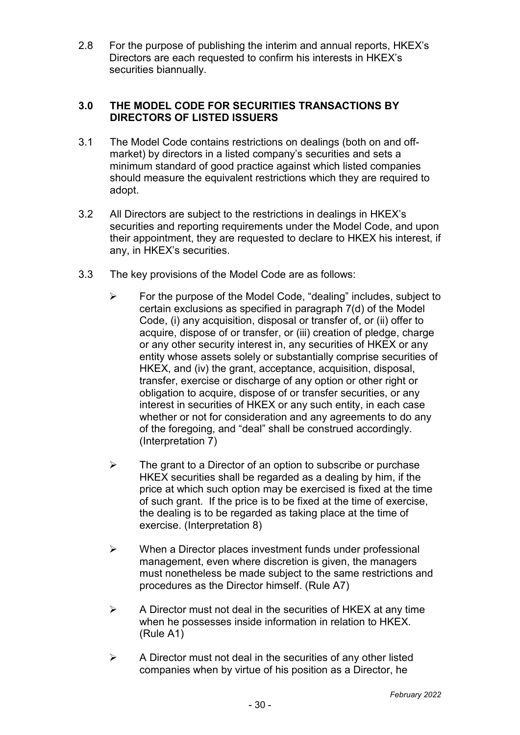2.8 For the purpose of publishing the interim and annual reports, HKEX's Directors are each requested to confirm his interests in HKEX's securities biannually.

## **3.0 THE MODEL CODE FOR SECURITIES TRANSACTIONS BY DIRECTORS OF LISTED ISSUERS**

- 3.1 The Model Code contains restrictions on dealings (both on and offmarket) by directors in a listed company's securities and sets a minimum standard of good practice against which listed companies should measure the equivalent restrictions which they are required to adopt.
- 3.2 All Directors are subject to the restrictions in dealings in HKEX's securities and reporting requirements under the Model Code, and upon their appointment, they are requested to declare to HKEX his interest, if any, in HKEX's securities.
- 3.3 The key provisions of the Model Code are as follows:
	- $\triangleright$  For the purpose of the Model Code, "dealing" includes, subject to certain exclusions as specified in paragraph 7(d) of the Model Code, (i) any acquisition, disposal or transfer of, or (ii) offer to acquire, dispose of or transfer, or (iii) creation of pledge, charge or any other security interest in, any securities of HKEX or any entity whose assets solely or substantially comprise securities of HKEX, and (iv) the grant, acceptance, acquisition, disposal, transfer, exercise or discharge of any option or other right or obligation to acquire, dispose of or transfer securities, or any interest in securities of HKEX or any such entity, in each case whether or not for consideration and any agreements to do any of the foregoing, and "deal" shall be construed accordingly. (Interpretation 7)
	- $\triangleright$  The grant to a Director of an option to subscribe or purchase HKEX securities shall be regarded as a dealing by him, if the price at which such option may be exercised is fixed at the time of such grant. If the price is to be fixed at the time of exercise, the dealing is to be regarded as taking place at the time of exercise. (Interpretation 8)
	- $\triangleright$  When a Director places investment funds under professional management, even where discretion is given, the managers must nonetheless be made subject to the same restrictions and procedures as the Director himself. (Rule A7)
	- $\triangleright$  A Director must not deal in the securities of HKEX at any time when he possesses inside information in relation to HKEX. (Rule A1)
	- $\triangleright$  A Director must not deal in the securities of any other listed companies when by virtue of his position as a Director, he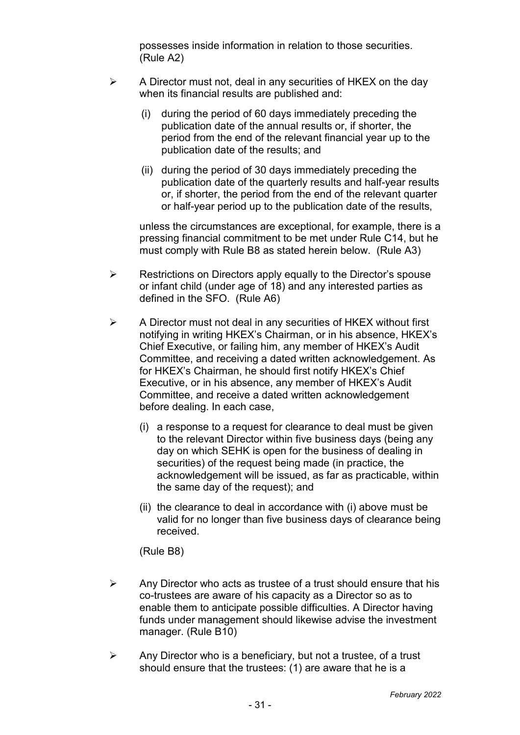possesses inside information in relation to those securities. (Rule A2)

- $\triangleright$  A Director must not, deal in any securities of HKEX on the day when its financial results are published and:
	- (i) during the period of 60 days immediately preceding the publication date of the annual results or, if shorter, the period from the end of the relevant financial year up to the publication date of the results; and
	- (ii) during the period of 30 days immediately preceding the publication date of the quarterly results and half-year results or, if shorter, the period from the end of the relevant quarter or half-year period up to the publication date of the results,

unless the circumstances are exceptional, for example, there is a pressing financial commitment to be met under Rule C14, but he must comply with Rule B8 as stated herein below. (Rule A3)

- $\triangleright$  Restrictions on Directors apply equally to the Director's spouse or infant child (under age of 18) and any interested parties as defined in the SFO. (Rule A6)
- $\triangleright$  A Director must not deal in any securities of HKEX without first notifying in writing HKEX's Chairman, or in his absence, HKEX's Chief Executive, or failing him, any member of HKEX's Audit Committee, and receiving a dated written acknowledgement. As for HKEX's Chairman, he should first notify HKEX's Chief Executive, or in his absence, any member of HKEX's Audit Committee, and receive a dated written acknowledgement before dealing. In each case,
	- (i) a response to a request for clearance to deal must be given to the relevant Director within five business days (being any day on which SEHK is open for the business of dealing in securities) of the request being made (in practice, the acknowledgement will be issued, as far as practicable, within the same day of the request); and
	- (ii) the clearance to deal in accordance with (i) above must be valid for no longer than five business days of clearance being received.

(Rule B8)

- $\triangleright$  Any Director who acts as trustee of a trust should ensure that his co-trustees are aware of his capacity as a Director so as to enable them to anticipate possible difficulties. A Director having funds under management should likewise advise the investment manager. (Rule B10)
- $\triangleright$  Any Director who is a beneficiary, but not a trustee, of a trust should ensure that the trustees: (1) are aware that he is a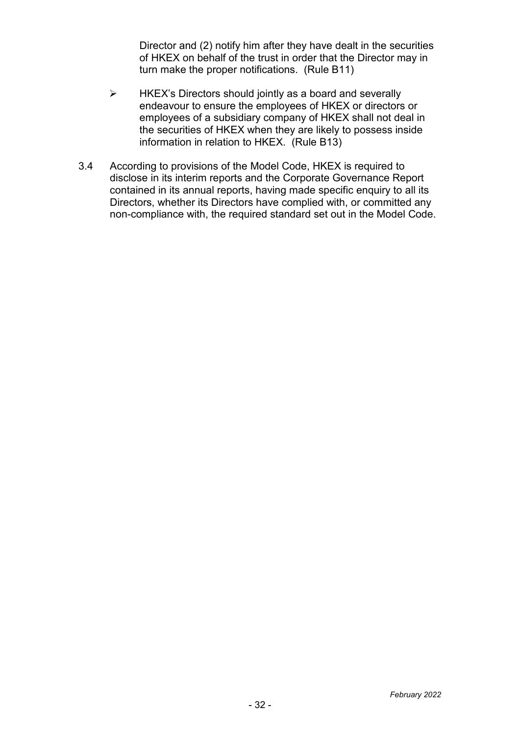Director and (2) notify him after they have dealt in the securities of HKEX on behalf of the trust in order that the Director may in turn make the proper notifications. (Rule B11)

- $\triangleright$  HKEX's Directors should jointly as a board and severally endeavour to ensure the employees of HKEX or directors or employees of a subsidiary company of HKEX shall not deal in the securities of HKEX when they are likely to possess inside information in relation to HKEX. (Rule B13)
- 3.4 According to provisions of the Model Code, HKEX is required to disclose in its interim reports and the Corporate Governance Report contained in its annual reports, having made specific enquiry to all its Directors, whether its Directors have complied with, or committed any non-compliance with, the required standard set out in the Model Code.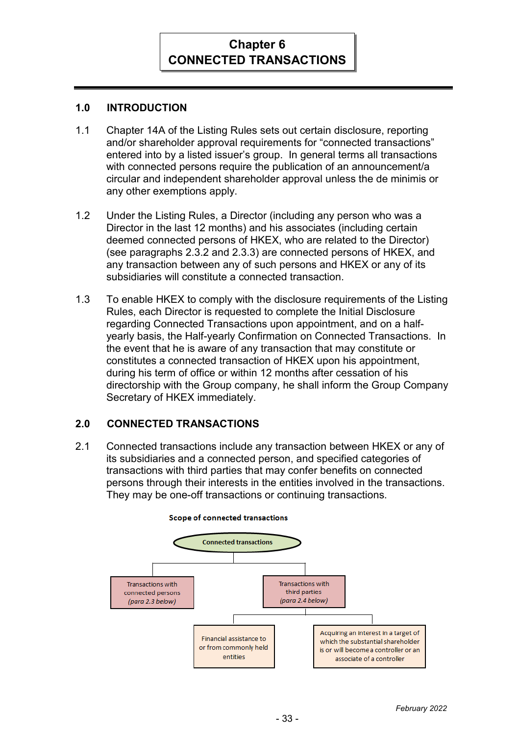# **Chapter 6 CONNECTED TRANSACTIONS**

# **1.0 INTRODUCTION**

- 1.1 Chapter 14A of the Listing Rules sets out certain disclosure, reporting and/or shareholder approval requirements for "connected transactions" entered into by a listed issuer's group. In general terms all transactions with connected persons require the publication of an announcement/a circular and independent shareholder approval unless the de minimis or any other exemptions apply.
- 1.2 Under the Listing Rules, a Director (including any person who was a Director in the last 12 months) and his associates (including certain deemed connected persons of HKEX, who are related to the Director) (see paragraphs 2.3.2 and 2.3.3) are connected persons of HKEX, and any transaction between any of such persons and HKEX or any of its subsidiaries will constitute a connected transaction.
- 1.3 To enable HKEX to comply with the disclosure requirements of the Listing Rules, each Director is requested to complete the Initial Disclosure regarding Connected Transactions upon appointment, and on a halfyearly basis, the Half-yearly Confirmation on Connected Transactions. In the event that he is aware of any transaction that may constitute or constitutes a connected transaction of HKEX upon his appointment, during his term of office or within 12 months after cessation of his directorship with the Group company, he shall inform the Group Company Secretary of HKEX immediately.

# **2.0 CONNECTED TRANSACTIONS**

2.1 Connected transactions include any transaction between HKEX or any of its subsidiaries and a connected person, and specified categories of transactions with third parties that may confer benefits on connected persons through their interests in the entities involved in the transactions. They may be one-off transactions or continuing transactions.



#### **Scope of connected transactions**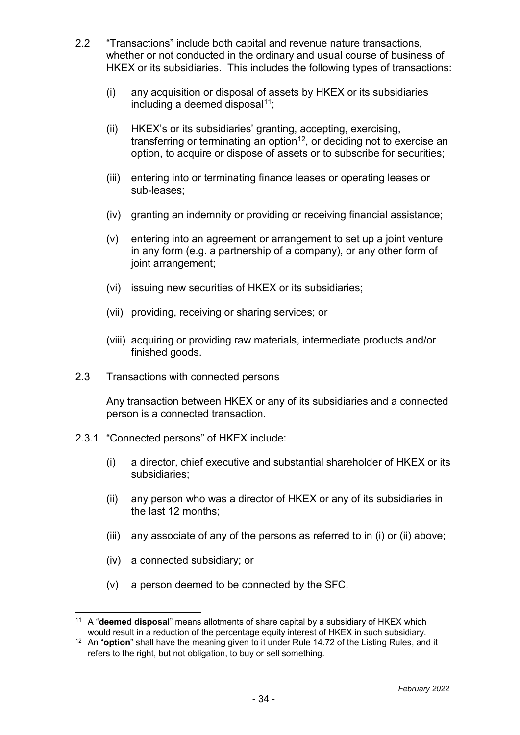- 2.2 "Transactions" include both capital and revenue nature transactions, whether or not conducted in the ordinary and usual course of business of HKEX or its subsidiaries. This includes the following types of transactions:
	- (i) any acquisition or disposal of assets by HKEX or its subsidiaries including a deemed disposal $11$ ;
	- (ii) HKEX's or its subsidiaries' granting, accepting, exercising, transferring or terminating an option<sup>12</sup>, or deciding not to exercise an option, to acquire or dispose of assets or to subscribe for securities;
	- (iii) entering into or terminating finance leases or operating leases or sub-leases;
	- (iv) granting an indemnity or providing or receiving financial assistance;
	- (v) entering into an agreement or arrangement to set up a joint venture in any form (e.g. a partnership of a company), or any other form of joint arrangement;
	- (vi) issuing new securities of HKEX or its subsidiaries;
	- (vii) providing, receiving or sharing services; or
	- (viii) acquiring or providing raw materials, intermediate products and/or finished goods.
- 2.3 Transactions with connected persons

Any transaction between HKEX or any of its subsidiaries and a connected person is a connected transaction.

- 2.3.1 "Connected persons" of HKEX include:
	- (i) a director, chief executive and substantial shareholder of HKEX or its subsidiaries;
	- (ii) any person who was a director of HKEX or any of its subsidiaries in the last 12 months;
	- (iii) any associate of any of the persons as referred to in (i) or (ii) above;
	- (iv) a connected subsidiary; or

 $\overline{a}$ 

(v) a person deemed to be connected by the SFC.

<sup>11</sup> A "**deemed disposal**" means allotments of share capital by a subsidiary of HKEX which would result in a reduction of the percentage equity interest of HKEX in such subsidiary.

<sup>12</sup> An "**option**" shall have the meaning given to it under Rule 14.72 of the Listing Rules, and it refers to the right, but not obligation, to buy or sell something.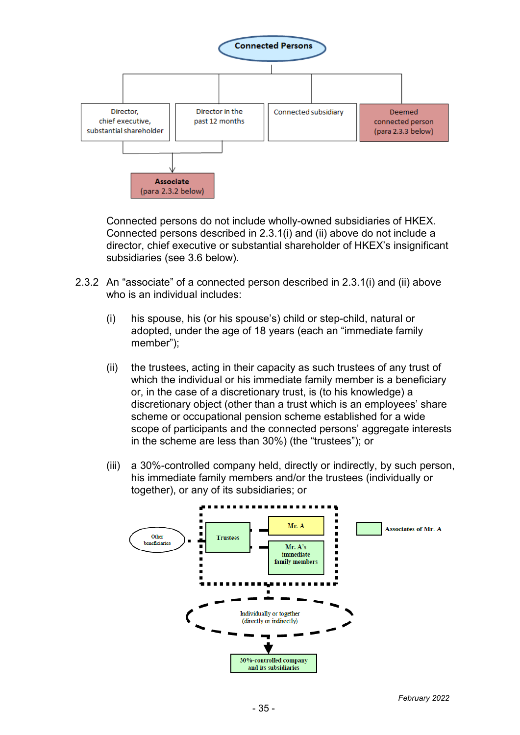

Connected persons do not include wholly-owned subsidiaries of HKEX. Connected persons described in 2.3.1(i) and (ii) above do not include a director, chief executive or substantial shareholder of HKEX's insignificant subsidiaries (see 3.6 below).

- 2.3.2 An "associate" of a connected person described in 2.3.1(i) and (ii) above who is an individual includes:
	- (i) his spouse, his (or his spouse's) child or step-child, natural or adopted, under the age of 18 years (each an "immediate family member");
	- (ii) the trustees, acting in their capacity as such trustees of any trust of which the individual or his immediate family member is a beneficiary or, in the case of a discretionary trust, is (to his knowledge) a discretionary object (other than a trust which is an employees' share scheme or occupational pension scheme established for a wide scope of participants and the connected persons' aggregate interests in the scheme are less than 30%) (the "trustees"); or
	- (iii) a 30%-controlled company held, directly or indirectly, by such person, his immediate family members and/or the trustees (individually or together), or any of its subsidiaries; or

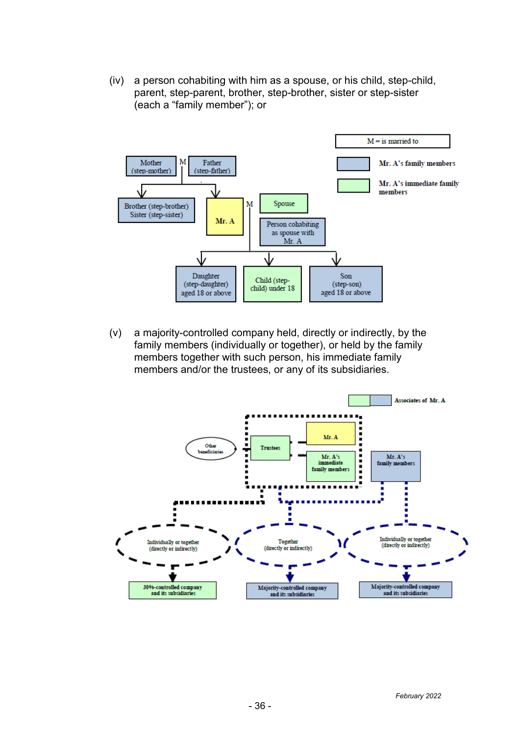(iv) a person cohabiting with him as a spouse, or his child, step-child, parent, step-parent, brother, step-brother, sister or step-sister (each a "family member"); or



(v) a majority-controlled company held, directly or indirectly, by the family members (individually or together), or held by the family members together with such person, his immediate family members and/or the trustees, or any of its subsidiaries.

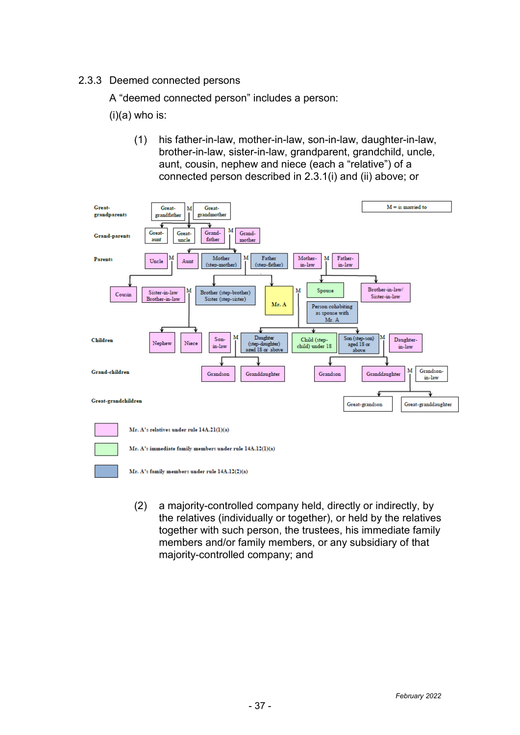## 2.3.3 Deemed connected persons

A "deemed connected person" includes a person:

 $(i)(a)$  who is:

(1) his father-in-law, mother-in-law, son-in-law, daughter-in-law, brother-in-law, sister-in-law, grandparent, grandchild, uncle, aunt, cousin, nephew and niece (each a "relative") of a connected person described in 2.3.1(i) and (ii) above; or



(2) a majority-controlled company held, directly or indirectly, by the relatives (individually or together), or held by the relatives together with such person, the trustees, his immediate family members and/or family members, or any subsidiary of that majority-controlled company; and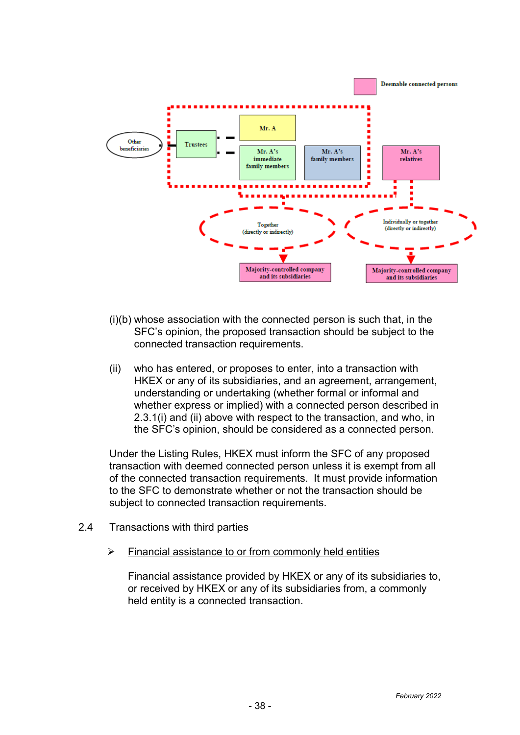

- (i)(b) whose association with the connected person is such that, in the SFC's opinion, the proposed transaction should be subject to the connected transaction requirements.
- (ii) who has entered, or proposes to enter, into a transaction with HKEX or any of its subsidiaries, and an agreement, arrangement, understanding or undertaking (whether formal or informal and whether express or implied) with a connected person described in 2.3.1(i) and (ii) above with respect to the transaction, and who, in the SFC's opinion, should be considered as a connected person.

Under the Listing Rules, HKEX must inform the SFC of any proposed transaction with deemed connected person unless it is exempt from all of the connected transaction requirements. It must provide information to the SFC to demonstrate whether or not the transaction should be subject to connected transaction requirements.

- <span id="page-39-1"></span><span id="page-39-0"></span>2.4 Transactions with third parties
	- $\triangleright$  Financial assistance to or from commonly held entities

Financial assistance provided by HKEX or any of its subsidiaries to, or received by HKEX or any of its subsidiaries from, a commonly held entity is a connected transaction.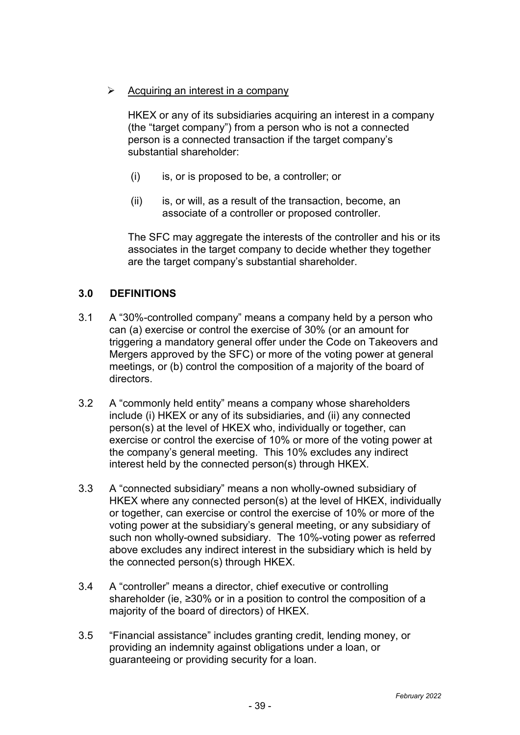$\triangleright$  Acquiring an interest in a company

HKEX or any of its subsidiaries acquiring an interest in a company (the "target company") from a person who is not a connected person is a connected transaction if the target company's substantial shareholder:

- (i) is, or is proposed to be, a controller; or
- $(ii)$  is, or will, as a result of the transaction, become, an associate of a controller or proposed controller.

The SFC may aggregate the interests of the controller and his or its associates in the target company to decide whether they together are the target company's substantial shareholder.

# **3.0 DEFINITIONS**

- 3.1 A "30%-controlled company" means a company held by a person who can (a) exercise or control the exercise of 30% (or an amount for triggering a mandatory general offer under the Code on Takeovers and Mergers approved by the SFC) or more of the voting power at general meetings, or (b) control the composition of a majority of the board of directors.
- 3.2 A "commonly held entity" means a company whose shareholders include (i) HKEX or any of its subsidiaries, and (ii) any connected person(s) at the level of HKEX who, individually or together, can exercise or control the exercise of 10% or more of the voting power at the company's general meeting. This 10% excludes any indirect interest held by the connected person(s) through HKEX.
- 3.3 A "connected subsidiary" means a non wholly-owned subsidiary of HKEX where any connected person(s) at the level of HKEX, individually or together, can exercise or control the exercise of 10% or more of the voting power at the subsidiary's general meeting, or any subsidiary of such non wholly-owned subsidiary. The 10%-voting power as referred above excludes any indirect interest in the subsidiary which is held by the connected person(s) through HKEX.
- 3.4 A "controller" means a director, chief executive or controlling shareholder (ie, ≥30% or in a position to control the composition of a majority of the board of directors) of HKEX.
- 3.5 "Financial assistance" includes granting credit, lending money, or providing an indemnity against obligations under a loan, or guaranteeing or providing security for a loan.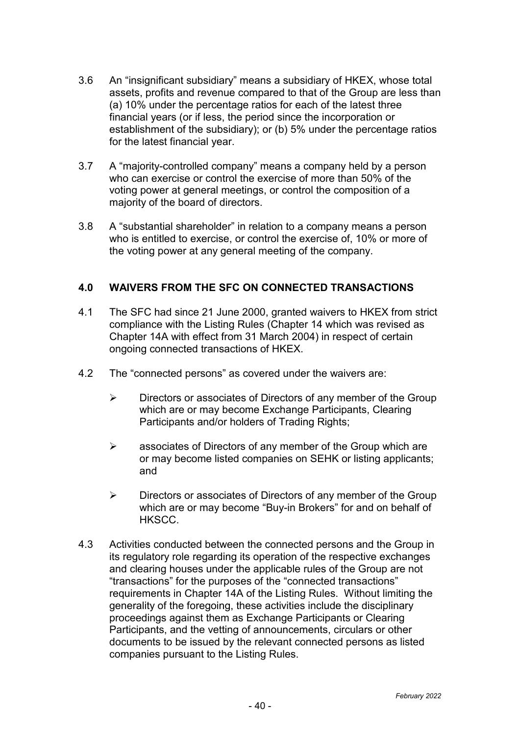- 3.6 An "insignificant subsidiary" means a subsidiary of HKEX, whose total assets, profits and revenue compared to that of the Group are less than (a) 10% under the percentage ratios for each of the latest three financial years (or if less, the period since the incorporation or establishment of the subsidiary); or (b) 5% under the percentage ratios for the latest financial year.
- 3.7 A "majority-controlled company" means a company held by a person who can exercise or control the exercise of more than 50% of the voting power at general meetings, or control the composition of a majority of the board of directors.
- 3.8 A "substantial shareholder" in relation to a company means a person who is entitled to exercise, or control the exercise of, 10% or more of the voting power at any general meeting of the company.

## **4.0 WAIVERS FROM THE SFC ON CONNECTED TRANSACTIONS**

- 4.1 The SFC had since 21 June 2000, granted waivers to HKEX from strict compliance with the Listing Rules (Chapter 14 which was revised as Chapter 14A with effect from 31 March 2004) in respect of certain ongoing connected transactions of HKEX.
- 4.2 The "connected persons" as covered under the waivers are:
	- $\triangleright$  Directors or associates of Directors of any member of the Group which are or may become Exchange Participants, Clearing Participants and/or holders of Trading Rights;
	- $\triangleright$  associates of Directors of any member of the Group which are or may become listed companies on SEHK or listing applicants; and
	- $\triangleright$  Directors or associates of Directors of any member of the Group which are or may become "Buy-in Brokers" for and on behalf of HKSCC.
- 4.3 Activities conducted between the connected persons and the Group in its regulatory role regarding its operation of the respective exchanges and clearing houses under the applicable rules of the Group are not "transactions" for the purposes of the "connected transactions" requirements in Chapter 14A of the Listing Rules. Without limiting the generality of the foregoing, these activities include the disciplinary proceedings against them as Exchange Participants or Clearing Participants, and the vetting of announcements, circulars or other documents to be issued by the relevant connected persons as listed companies pursuant to the Listing Rules.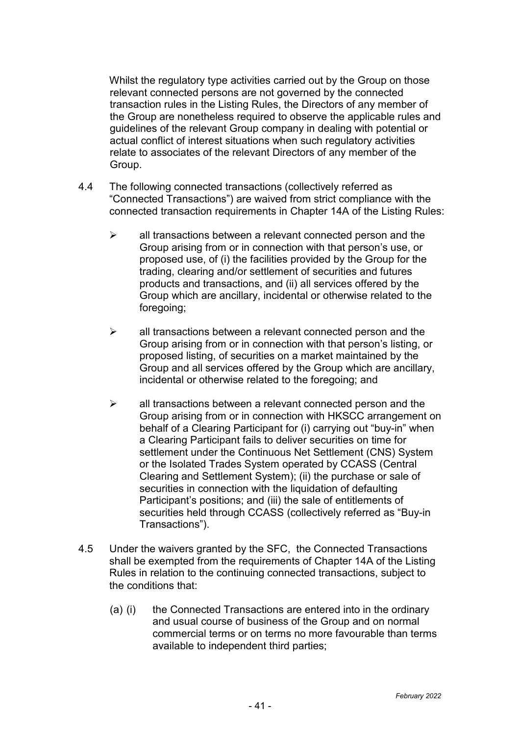Whilst the regulatory type activities carried out by the Group on those relevant connected persons are not governed by the connected transaction rules in the Listing Rules, the Directors of any member of the Group are nonetheless required to observe the applicable rules and guidelines of the relevant Group company in dealing with potential or actual conflict of interest situations when such regulatory activities relate to associates of the relevant Directors of any member of the Group.

- 4.4 The following connected transactions (collectively referred as "Connected Transactions") are waived from strict compliance with the connected transaction requirements in Chapter 14A of the Listing Rules:
	- $\triangleright$  all transactions between a relevant connected person and the Group arising from or in connection with that person's use, or proposed use, of (i) the facilities provided by the Group for the trading, clearing and/or settlement of securities and futures products and transactions, and (ii) all services offered by the Group which are ancillary, incidental or otherwise related to the foregoing;
	- $\triangleright$  all transactions between a relevant connected person and the Group arising from or in connection with that person's listing, or proposed listing, of securities on a market maintained by the Group and all services offered by the Group which are ancillary, incidental or otherwise related to the foregoing; and
	- $\triangleright$  all transactions between a relevant connected person and the Group arising from or in connection with HKSCC arrangement on behalf of a Clearing Participant for (i) carrying out "buy-in" when a Clearing Participant fails to deliver securities on time for settlement under the Continuous Net Settlement (CNS) System or the Isolated Trades System operated by CCASS (Central Clearing and Settlement System); (ii) the purchase or sale of securities in connection with the liquidation of defaulting Participant's positions; and (iii) the sale of entitlements of securities held through CCASS (collectively referred as "Buy-in Transactions").
- 4.5 Under the waivers granted by the SFC, the Connected Transactions shall be exempted from the requirements of Chapter 14A of the Listing Rules in relation to the continuing connected transactions, subject to the conditions that:
	- (a) (i) the Connected Transactions are entered into in the ordinary and usual course of business of the Group and on normal commercial terms or on terms no more favourable than terms available to independent third parties;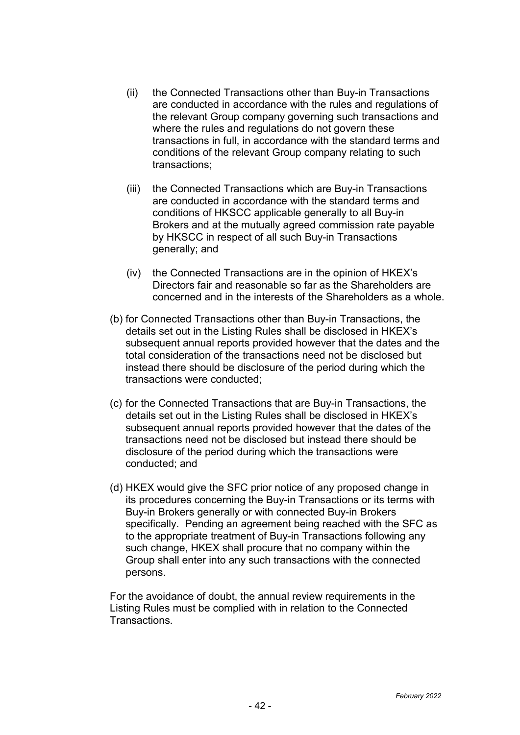- (ii) the Connected Transactions other than Buy-in Transactions are conducted in accordance with the rules and regulations of the relevant Group company governing such transactions and where the rules and regulations do not govern these transactions in full, in accordance with the standard terms and conditions of the relevant Group company relating to such transactions;
- (iii) the Connected Transactions which are Buy-in Transactions are conducted in accordance with the standard terms and conditions of HKSCC applicable generally to all Buy-in Brokers and at the mutually agreed commission rate payable by HKSCC in respect of all such Buy-in Transactions generally; and
- (iv) the Connected Transactions are in the opinion of HKEX's Directors fair and reasonable so far as the Shareholders are concerned and in the interests of the Shareholders as a whole.
- (b) for Connected Transactions other than Buy-in Transactions, the details set out in the Listing Rules shall be disclosed in HKEX's subsequent annual reports provided however that the dates and the total consideration of the transactions need not be disclosed but instead there should be disclosure of the period during which the transactions were conducted;
- (c) for the Connected Transactions that are Buy-in Transactions, the details set out in the Listing Rules shall be disclosed in HKEX's subsequent annual reports provided however that the dates of the transactions need not be disclosed but instead there should be disclosure of the period during which the transactions were conducted; and
- (d) HKEX would give the SFC prior notice of any proposed change in its procedures concerning the Buy-in Transactions or its terms with Buy-in Brokers generally or with connected Buy-in Brokers specifically. Pending an agreement being reached with the SFC as to the appropriate treatment of Buy-in Transactions following any such change, HKEX shall procure that no company within the Group shall enter into any such transactions with the connected persons.

For the avoidance of doubt, the annual review requirements in the Listing Rules must be complied with in relation to the Connected **Transactions**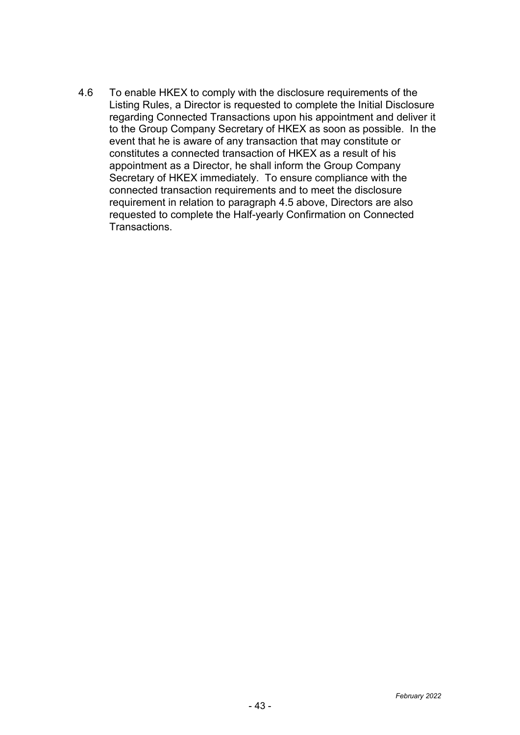4.6 To enable HKEX to comply with the disclosure requirements of the Listing Rules, a Director is requested to complete the Initial Disclosure regarding Connected Transactions upon his appointment and deliver it to the Group Company Secretary of HKEX as soon as possible. In the event that he is aware of any transaction that may constitute or constitutes a connected transaction of HKEX as a result of his appointment as a Director, he shall inform the Group Company Secretary of HKEX immediately. To ensure compliance with the connected transaction requirements and to meet the disclosure requirement in relation to paragraph 4.5 above, Directors are also requested to complete the Half-yearly Confirmation on Connected Transactions.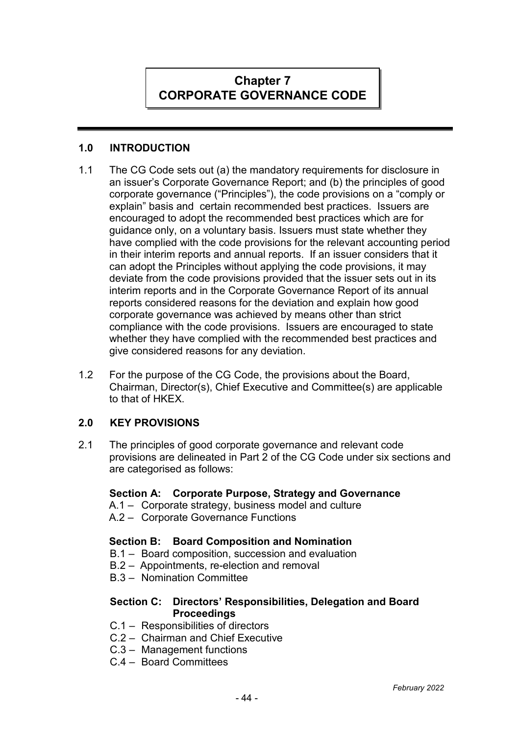# **Chapter 7 CORPORATE GOVERNANCE CODE**

## **1.0 INTRODUCTION**

- 1.1 The CG Code sets out (a) the mandatory requirements for disclosure in an issuer's Corporate Governance Report; and (b) the principles of good corporate governance ("Principles"), the code provisions on a "comply or explain" basis and certain recommended best practices. Issuers are encouraged to adopt the recommended best practices which are for guidance only, on a voluntary basis. Issuers must state whether they have complied with the code provisions for the relevant accounting period in their interim reports and annual reports. If an issuer considers that it can adopt the Principles without applying the code provisions, it may deviate from the code provisions provided that the issuer sets out in its interim reports and in the Corporate Governance Report of its annual reports considered reasons for the deviation and explain how good corporate governance was achieved by means other than strict compliance with the code provisions. Issuers are encouraged to state whether they have complied with the recommended best practices and give considered reasons for any deviation.
- 1.2 For the purpose of the CG Code, the provisions about the Board, Chairman, Director(s), Chief Executive and Committee(s) are applicable to that of HKEX.

# **2.0 KEY PROVISIONS**

2.1 The principles of good corporate governance and relevant code provisions are delineated in Part 2 of the CG Code under six sections and are categorised as follows:

#### **Section A: Corporate Purpose, Strategy and Governance**

- A.1 Corporate strategy, business model and culture
- A.2 Corporate Governance Functions

#### **Section B: Board Composition and Nomination**

- B.1 Board composition, succession and evaluation
- B.2 Appointments, re-election and removal
- B.3 Nomination Committee

#### **Section C: Directors' Responsibilities, Delegation and Board Proceedings**

- C.1 Responsibilities of directors
- C.2 Chairman and Chief Executive
- C.3 Management functions
- C.4 Board Committees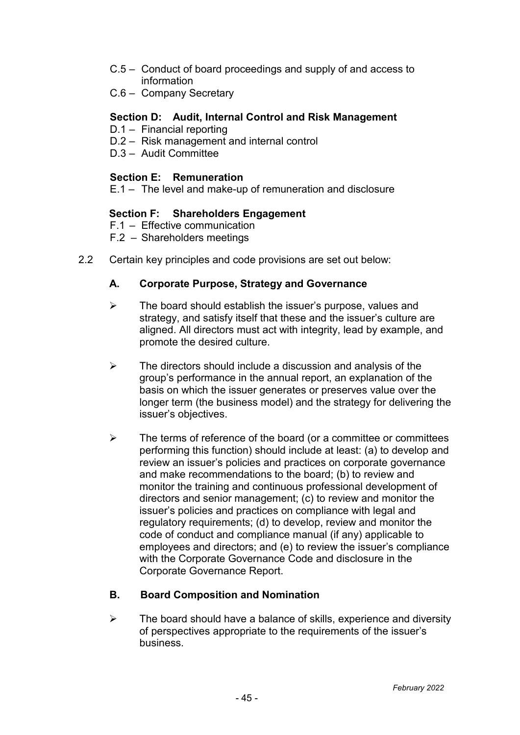- C.5 Conduct of board proceedings and supply of and access to information
- C.6 Company Secretary

#### **Section D: Audit, Internal Control and Risk Management**

- D.1 Financial reporting
- D.2 Risk management and internal control
- D.3 Audit Committee

#### **Section E: Remuneration**

E.1 – The level and make-up of remuneration and disclosure

#### **Section F: Shareholders Engagement**

F.1 – Effective communication

F.2 – Shareholders meetings

2.2 Certain key principles and code provisions are set out below:

#### **A. Corporate Purpose, Strategy and Governance**

- $\triangleright$  The board should establish the issuer's purpose, values and strategy, and satisfy itself that these and the issuer's culture are aligned. All directors must act with integrity, lead by example, and promote the desired culture.
- $\triangleright$  The directors should include a discussion and analysis of the group's performance in the annual report, an explanation of the basis on which the issuer generates or preserves value over the longer term (the business model) and the strategy for delivering the issuer's objectives.
- $\triangleright$  The terms of reference of the board (or a committee or committees performing this function) should include at least: (a) to develop and review an issuer's policies and practices on corporate governance and make recommendations to the board; (b) to review and monitor the training and continuous professional development of directors and senior management; (c) to review and monitor the issuer's policies and practices on compliance with legal and regulatory requirements; (d) to develop, review and monitor the code of conduct and compliance manual (if any) applicable to employees and directors; and (e) to review the issuer's compliance with the Corporate Governance Code and disclosure in the Corporate Governance Report.

#### **B. Board Composition and Nomination**

 $\triangleright$  The board should have a balance of skills, experience and diversity of perspectives appropriate to the requirements of the issuer's business.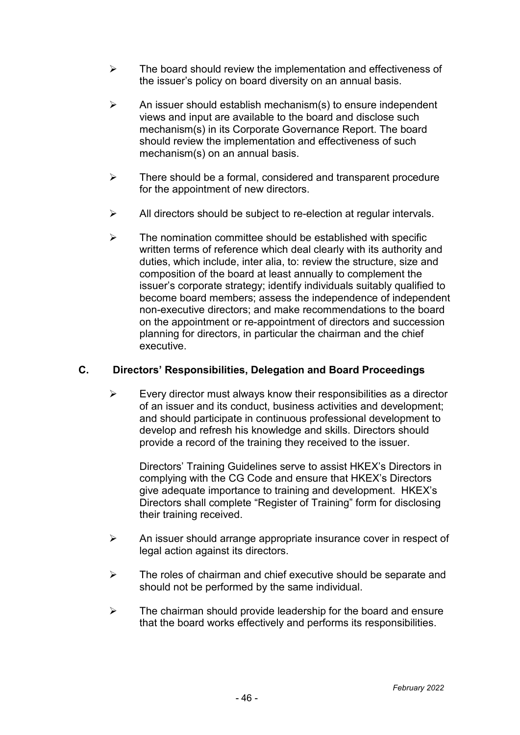- $\triangleright$  The board should review the implementation and effectiveness of the issuer's policy on board diversity on an annual basis.
- $\triangleright$  An issuer should establish mechanism(s) to ensure independent views and input are available to the board and disclose such mechanism(s) in its Corporate Governance Report. The board should review the implementation and effectiveness of such mechanism(s) on an annual basis.
- $\triangleright$  There should be a formal, considered and transparent procedure for the appointment of new directors.
- $\triangleright$  All directors should be subject to re-election at regular intervals.
- $\triangleright$  The nomination committee should be established with specific written terms of reference which deal clearly with its authority and duties, which include, inter alia, to: review the structure, size and composition of the board at least annually to complement the issuer's corporate strategy; identify individuals suitably qualified to become board members; assess the independence of independent non-executive directors; and make recommendations to the board on the appointment or re-appointment of directors and succession planning for directors, in particular the chairman and the chief executive.

# **C. Directors' Responsibilities, Delegation and Board Proceedings**

 $\triangleright$  Every director must always know their responsibilities as a director of an issuer and its conduct, business activities and development; and should participate in continuous professional development to develop and refresh his knowledge and skills. Directors should provide a record of the training they received to the issuer.

Directors' Training Guidelines serve to assist HKEX's Directors in complying with the CG Code and ensure that HKEX's Directors give adequate importance to training and development. HKEX's Directors shall complete "Register of Training" form for disclosing their training received.

- $\triangleright$  An issuer should arrange appropriate insurance cover in respect of legal action against its directors.
- $\triangleright$  The roles of chairman and chief executive should be separate and should not be performed by the same individual.
- $\triangleright$  The chairman should provide leadership for the board and ensure that the board works effectively and performs its responsibilities.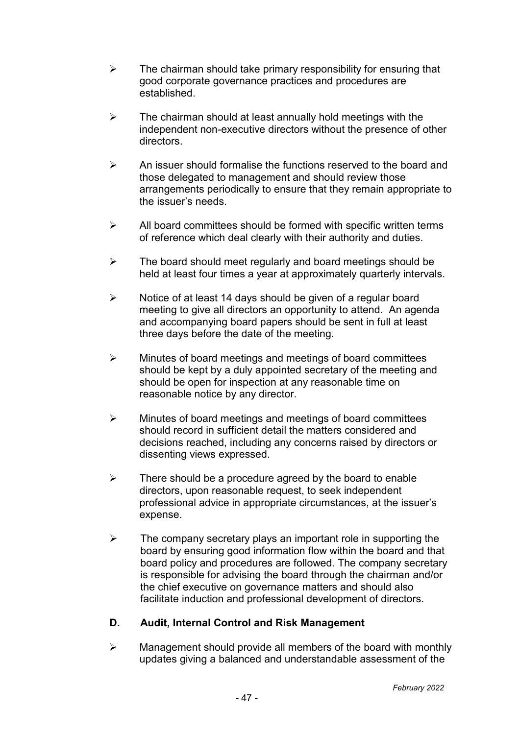- $\triangleright$  The chairman should take primary responsibility for ensuring that good corporate governance practices and procedures are established.
- $\triangleright$  The chairman should at least annually hold meetings with the independent non-executive directors without the presence of other directors.
- $\triangleright$  An issuer should formalise the functions reserved to the board and those delegated to management and should review those arrangements periodically to ensure that they remain appropriate to the issuer's needs.
- $\triangleright$  All board committees should be formed with specific written terms of reference which deal clearly with their authority and duties.
- $\triangleright$  The board should meet regularly and board meetings should be held at least four times a year at approximately quarterly intervals.
- $\triangleright$  Notice of at least 14 days should be given of a regular board meeting to give all directors an opportunity to attend. An agenda and accompanying board papers should be sent in full at least three days before the date of the meeting.
- $\triangleright$  Minutes of board meetings and meetings of board committees should be kept by a duly appointed secretary of the meeting and should be open for inspection at any reasonable time on reasonable notice by any director.
- $\triangleright$  Minutes of board meetings and meetings of board committees should record in sufficient detail the matters considered and decisions reached, including any concerns raised by directors or dissenting views expressed.
- $\triangleright$  There should be a procedure agreed by the board to enable directors, upon reasonable request, to seek independent professional advice in appropriate circumstances, at the issuer's expense.
- $\triangleright$  The company secretary plays an important role in supporting the board by ensuring good information flow within the board and that board policy and procedures are followed. The company secretary is responsible for advising the board through the chairman and/or the chief executive on governance matters and should also facilitate induction and professional development of directors.

# **D. Audit, Internal Control and Risk Management**

 $\triangleright$  Management should provide all members of the board with monthly updates giving a balanced and understandable assessment of the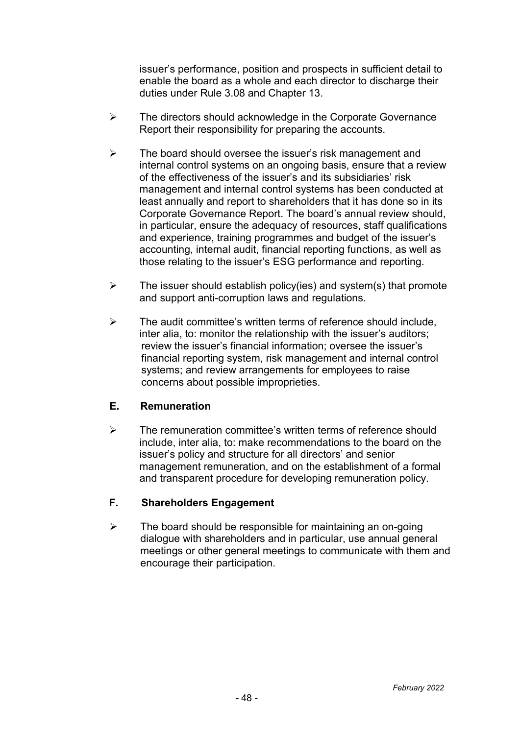issuer's performance, position and prospects in sufficient detail to enable the board as a whole and each director to discharge their duties under Rule 3.08 and Chapter 13.

- $\triangleright$  The directors should acknowledge in the Corporate Governance Report their responsibility for preparing the accounts.
- $\triangleright$  The board should oversee the issuer's risk management and internal control systems on an ongoing basis, ensure that a review of the effectiveness of the issuer's and its subsidiaries' risk management and internal control systems has been conducted at least annually and report to shareholders that it has done so in its Corporate Governance Report. The board's annual review should, in particular, ensure the adequacy of resources, staff qualifications and experience, training programmes and budget of the issuer's accounting, internal audit, financial reporting functions, as well as those relating to the issuer's ESG performance and reporting.
- $\triangleright$  The issuer should establish policy(ies) and system(s) that promote and support anti-corruption laws and regulations.
- $\geq$  The audit committee's written terms of reference should include. inter alia, to: monitor the relationship with the issuer's auditors; review the issuer's financial information; oversee the issuer's financial reporting system, risk management and internal control systems; and review arrangements for employees to raise concerns about possible improprieties.

#### **E. Remuneration**

 $\triangleright$  The remuneration committee's written terms of reference should include, inter alia, to: make recommendations to the board on the issuer's policy and structure for all directors' and senior management remuneration, and on the establishment of a formal and transparent procedure for developing remuneration policy.

# **F. Shareholders Engagement**

 $\triangleright$  The board should be responsible for maintaining an on-going dialogue with shareholders and in particular, use annual general meetings or other general meetings to communicate with them and encourage their participation.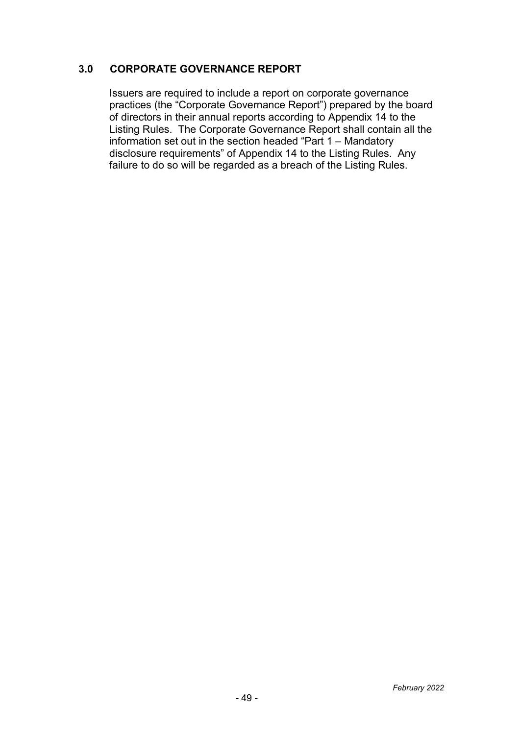## **3.0 CORPORATE GOVERNANCE REPORT**

Issuers are required to include a report on corporate governance practices (the "Corporate Governance Report") prepared by the board of directors in their annual reports according to Appendix 14 to the Listing Rules. The Corporate Governance Report shall contain all the information set out in the section headed "Part 1 – Mandatory disclosure requirements" of Appendix 14 to the Listing Rules. Any failure to do so will be regarded as a breach of the Listing Rules.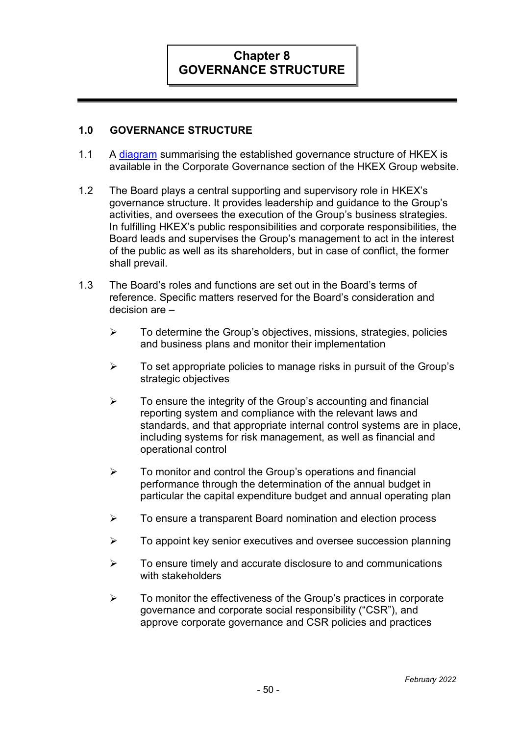# **Chapter 8 GOVERNANCE STRUCTURE**

#### **1.0 GOVERNANCE STRUCTURE**

- 1.1 A [diagram](https://www.hkexgroup.com/-/media/HKEX-Group-Site/ssd/Corporate-Governance/Documents/cg-structure-chart_e.pdf?la=en) summarising the established governance structure of HKEX is available in the Corporate Governance section of the HKEX Group website.
- 1.2 The Board plays a central supporting and supervisory role in HKEX's governance structure. It provides leadership and guidance to the Group's activities, and oversees the execution of the Group's business strategies. In fulfilling HKEX's public responsibilities and corporate responsibilities, the Board leads and supervises the Group's management to act in the interest of the public as well as its shareholders, but in case of conflict, the former shall prevail.
- 1.3 The Board's roles and functions are set out in the Board's terms of reference. Specific matters reserved for the Board's consideration and decision are –
	- $\triangleright$  To determine the Group's objectives, missions, strategies, policies and business plans and monitor their implementation
	- $\triangleright$  To set appropriate policies to manage risks in pursuit of the Group's strategic objectives
	- $\triangleright$  To ensure the integrity of the Group's accounting and financial reporting system and compliance with the relevant laws and standards, and that appropriate internal control systems are in place, including systems for risk management, as well as financial and operational control
	- $\triangleright$  To monitor and control the Group's operations and financial performance through the determination of the annual budget in particular the capital expenditure budget and annual operating plan
	- $\triangleright$  To ensure a transparent Board nomination and election process
	- $\triangleright$  To appoint key senior executives and oversee succession planning
	- $\triangleright$  To ensure timely and accurate disclosure to and communications with stakeholders
	- $\triangleright$  To monitor the effectiveness of the Group's practices in corporate governance and corporate social responsibility ("CSR"), and approve corporate governance and CSR policies and practices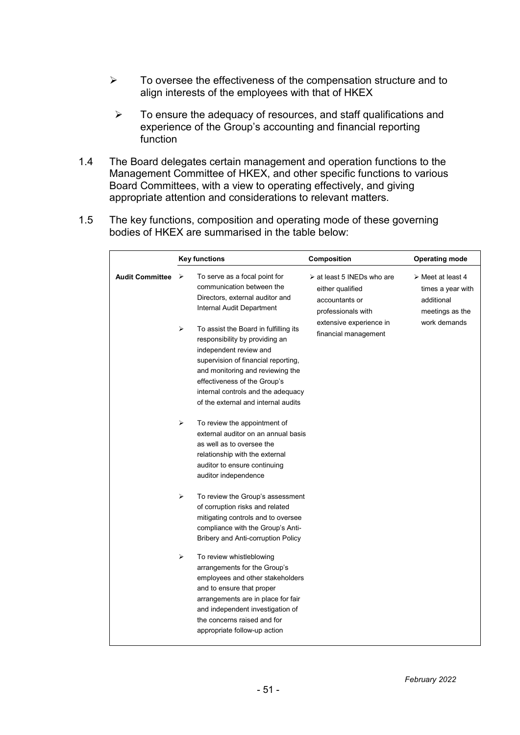- $\triangleright$  To oversee the effectiveness of the compensation structure and to align interests of the employees with that of HKEX
	- $\triangleright$  To ensure the adequacy of resources, and staff qualifications and experience of the Group's accounting and financial reporting function
- 1.4 The Board delegates certain management and operation functions to the Management Committee of HKEX, and other specific functions to various Board Committees, with a view to operating effectively, and giving appropriate attention and considerations to relevant matters.
- 1.5 The key functions, composition and operating mode of these governing bodies of HKEX are summarised in the table below:

|                        |        | <b>Key functions</b>                                                                                                                                                                                                                                               | Composition                                                                                                                                              | <b>Operating mode</b>                                                                                  |
|------------------------|--------|--------------------------------------------------------------------------------------------------------------------------------------------------------------------------------------------------------------------------------------------------------------------|----------------------------------------------------------------------------------------------------------------------------------------------------------|--------------------------------------------------------------------------------------------------------|
| <b>Audit Committee</b> | ⋗<br>➤ | To serve as a focal point for<br>communication between the<br>Directors, external auditor and<br>Internal Audit Department<br>To assist the Board in fulfilling its<br>responsibility by providing an                                                              | $\triangleright$ at least 5 INEDs who are<br>either qualified<br>accountants or<br>professionals with<br>extensive experience in<br>financial management | $\triangleright$ Meet at least 4<br>times a year with<br>additional<br>meetings as the<br>work demands |
|                        |        | independent review and<br>supervision of financial reporting,<br>and monitoring and reviewing the<br>effectiveness of the Group's<br>internal controls and the adequacy<br>of the external and internal audits                                                     |                                                                                                                                                          |                                                                                                        |
|                        | ➤      | To review the appointment of<br>external auditor on an annual basis<br>as well as to oversee the<br>relationship with the external<br>auditor to ensure continuing<br>auditor independence                                                                         |                                                                                                                                                          |                                                                                                        |
|                        | ➤      | To review the Group's assessment<br>of corruption risks and related<br>mitigating controls and to oversee<br>compliance with the Group's Anti-<br>Bribery and Anti-corruption Policy                                                                               |                                                                                                                                                          |                                                                                                        |
|                        | ➤      | To review whistleblowing<br>arrangements for the Group's<br>employees and other stakeholders<br>and to ensure that proper<br>arrangements are in place for fair<br>and independent investigation of<br>the concerns raised and for<br>appropriate follow-up action |                                                                                                                                                          |                                                                                                        |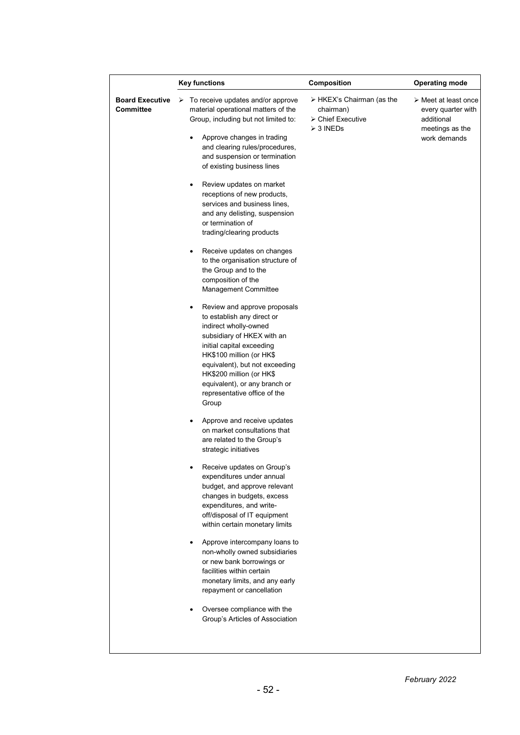|                                     | <b>Key functions</b>                                                                                                                                                                                                                                                               | Composition                                                                             | <b>Operating mode</b>                                                                                      |  |
|-------------------------------------|------------------------------------------------------------------------------------------------------------------------------------------------------------------------------------------------------------------------------------------------------------------------------------|-----------------------------------------------------------------------------------------|------------------------------------------------------------------------------------------------------------|--|
| <b>Board Executive</b><br>Committee | $\triangleright$ To receive updates and/or approve<br>material operational matters of the<br>Group, including but not limited to:<br>Approve changes in trading<br>٠<br>and clearing rules/procedures,<br>and suspension or termination<br>of existing business lines              | $\triangleright$ HKEX's Chairman (as the<br>chairman)<br>≻ Chief Executive<br>≻ 3 INEDs | $\triangleright$ Meet at least once<br>every quarter with<br>additional<br>meetings as the<br>work demands |  |
|                                     | Review updates on market<br>٠<br>receptions of new products,<br>services and business lines,<br>and any delisting, suspension<br>or termination of<br>trading/clearing products                                                                                                    |                                                                                         |                                                                                                            |  |
|                                     | Receive updates on changes<br>$\bullet$<br>to the organisation structure of<br>the Group and to the<br>composition of the<br>Management Committee<br>Review and approve proposals<br>$\bullet$                                                                                     |                                                                                         |                                                                                                            |  |
|                                     | to establish any direct or<br>indirect wholly-owned<br>subsidiary of HKEX with an<br>initial capital exceeding<br>HK\$100 million (or HK\$<br>equivalent), but not exceeding<br>HK\$200 million (or HK\$<br>equivalent), or any branch or<br>representative office of the<br>Group |                                                                                         |                                                                                                            |  |
|                                     | Approve and receive updates<br>٠<br>on market consultations that<br>are related to the Group's<br>strategic initiatives                                                                                                                                                            |                                                                                         |                                                                                                            |  |
|                                     | Receive updates on Group's<br>expenditures under annual<br>budget, and approve relevant<br>changes in budgets, excess<br>expenditures, and write-<br>off/disposal of IT equipment<br>within certain monetary limits                                                                |                                                                                         |                                                                                                            |  |
|                                     | Approve intercompany loans to<br>٠<br>non-wholly owned subsidiaries<br>or new bank borrowings or<br>facilities within certain<br>monetary limits, and any early<br>repayment or cancellation                                                                                       |                                                                                         |                                                                                                            |  |
|                                     | Oversee compliance with the<br>Group's Articles of Association                                                                                                                                                                                                                     |                                                                                         |                                                                                                            |  |

 $\mathsf{l}$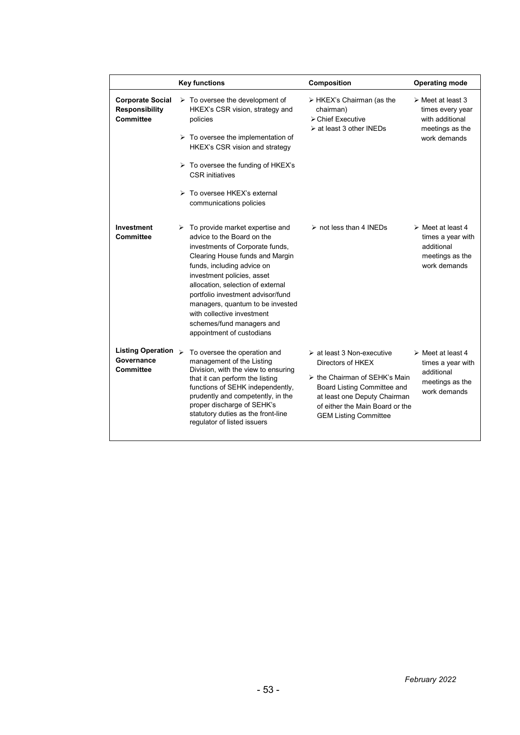|                                                                      | <b>Key functions</b>                                                                                                                                                                                                                                                                                                                                                                                  | Composition                                                                                                                                                                                                                                      | <b>Operating mode</b>                                                                                      |
|----------------------------------------------------------------------|-------------------------------------------------------------------------------------------------------------------------------------------------------------------------------------------------------------------------------------------------------------------------------------------------------------------------------------------------------------------------------------------------------|--------------------------------------------------------------------------------------------------------------------------------------------------------------------------------------------------------------------------------------------------|------------------------------------------------------------------------------------------------------------|
| <b>Corporate Social</b><br><b>Responsibility</b><br><b>Committee</b> | $\triangleright$ To oversee the development of<br>HKEX's CSR vision, strategy and<br>policies<br>$\triangleright$ To oversee the implementation of<br>HKEX's CSR vision and strategy<br>$\triangleright$ To oversee the funding of HKEX's<br><b>CSR</b> initiatives<br>> To oversee HKEX's external<br>communications policies                                                                        | $\triangleright$ HKEX's Chairman (as the<br>chairman)<br>$\triangleright$ Chief Executive<br>$\triangleright$ at least 3 other INEDs                                                                                                             | $\triangleright$ Meet at least 3<br>times every year<br>with additional<br>meetings as the<br>work demands |
| Investment<br>Committee                                              | To provide market expertise and<br>advice to the Board on the<br>investments of Corporate funds,<br>Clearing House funds and Margin<br>funds, including advice on<br>investment policies, asset<br>allocation, selection of external<br>portfolio investment advisor/fund<br>managers, quantum to be invested<br>with collective investment<br>schemes/fund managers and<br>appointment of custodians | $\triangleright$ not less than 4 INEDs                                                                                                                                                                                                           | $\triangleright$ Meet at least 4<br>times a year with<br>additional<br>meetings as the<br>work demands     |
| Listing Operation $\triangleright$<br>Governance<br>Committee        | To oversee the operation and<br>management of the Listing<br>Division, with the view to ensuring<br>that it can perform the listing<br>functions of SEHK independently,<br>prudently and competently, in the<br>proper discharge of SEHK's<br>statutory duties as the front-line<br>regulator of listed issuers                                                                                       | $\triangleright$ at least 3 Non-executive<br>Directors of HKEX<br>$\triangleright$ the Chairman of SEHK's Main<br>Board Listing Committee and<br>at least one Deputy Chairman<br>of either the Main Board or the<br><b>GEM Listing Committee</b> | $\triangleright$ Meet at least 4<br>times a year with<br>additional<br>meetings as the<br>work demands     |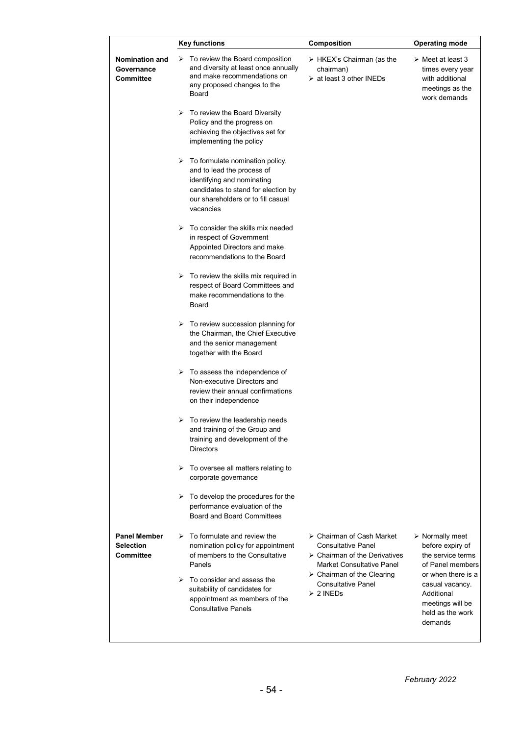|                                                      | <b>Key functions</b>                                                                                                                                                                                   | Composition                                                                                                                                               | <b>Operating mode</b>                                                                                      |  |
|------------------------------------------------------|--------------------------------------------------------------------------------------------------------------------------------------------------------------------------------------------------------|-----------------------------------------------------------------------------------------------------------------------------------------------------------|------------------------------------------------------------------------------------------------------------|--|
| <b>Nomination and</b><br>Governance<br>Committee     | $\triangleright$ To review the Board composition<br>and diversity at least once annually<br>and make recommendations on<br>any proposed changes to the<br>Board                                        | $\triangleright$ HKEX's Chairman (as the<br>chairman)<br>$\triangleright$ at least 3 other INEDs                                                          | $\triangleright$ Meet at least 3<br>times every year<br>with additional<br>meetings as the<br>work demands |  |
|                                                      | $\triangleright$ To review the Board Diversity<br>Policy and the progress on<br>achieving the objectives set for<br>implementing the policy                                                            |                                                                                                                                                           |                                                                                                            |  |
|                                                      | $\triangleright$ To formulate nomination policy,<br>and to lead the process of<br>identifying and nominating<br>candidates to stand for election by<br>our shareholders or to fill casual<br>vacancies |                                                                                                                                                           |                                                                                                            |  |
|                                                      | $\triangleright$ To consider the skills mix needed<br>in respect of Government<br>Appointed Directors and make<br>recommendations to the Board                                                         |                                                                                                                                                           |                                                                                                            |  |
|                                                      | $\triangleright$ To review the skills mix required in<br>respect of Board Committees and<br>make recommendations to the<br>Board                                                                       |                                                                                                                                                           |                                                                                                            |  |
|                                                      | $\triangleright$ To review succession planning for<br>the Chairman, the Chief Executive<br>and the senior management<br>together with the Board                                                        |                                                                                                                                                           |                                                                                                            |  |
|                                                      | $\triangleright$ To assess the independence of<br>Non-executive Directors and<br>review their annual confirmations<br>on their independence                                                            |                                                                                                                                                           |                                                                                                            |  |
|                                                      | $\triangleright$ To review the leadership needs<br>and training of the Group and<br>training and development of the<br><b>Directors</b>                                                                |                                                                                                                                                           |                                                                                                            |  |
|                                                      | $\triangleright$ To oversee all matters relating to<br>corporate governance                                                                                                                            |                                                                                                                                                           |                                                                                                            |  |
|                                                      | $\triangleright$ To develop the procedures for the<br>performance evaluation of the<br><b>Board and Board Committees</b>                                                                               |                                                                                                                                                           |                                                                                                            |  |
| <b>Panel Member</b><br><b>Selection</b><br>Committee | $\triangleright$ To formulate and review the<br>nomination policy for appointment<br>of members to the Consultative<br>Panels                                                                          | $\triangleright$ Chairman of Cash Market<br><b>Consultative Panel</b><br>$\triangleright$ Chairman of the Derivatives<br><b>Market Consultative Panel</b> | $\triangleright$ Normally meet<br>before expiry of<br>the service terms<br>of Panel members                |  |
|                                                      | $\triangleright$ To consider and assess the<br>suitability of candidates for<br>appointment as members of the<br><b>Consultative Panels</b>                                                            | $\triangleright$ Chairman of the Clearing<br><b>Consultative Panel</b><br>$\geq 2$ INEDs                                                                  | or when there is a<br>casual vacancy.<br>Additional<br>meetings will be<br>held as the work<br>demands     |  |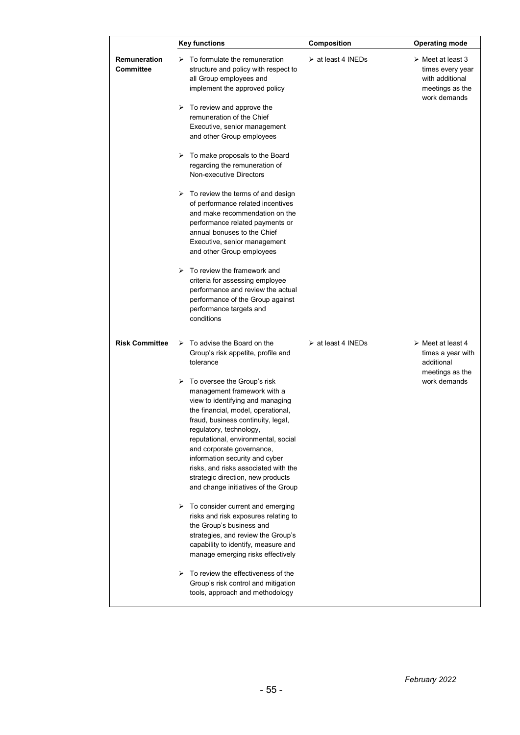|                                  | <b>Key functions</b>                                                                                                                                                                                                                                                                                                                                                                                                                             | Composition                       | <b>Operating mode</b>                                                                                      |
|----------------------------------|--------------------------------------------------------------------------------------------------------------------------------------------------------------------------------------------------------------------------------------------------------------------------------------------------------------------------------------------------------------------------------------------------------------------------------------------------|-----------------------------------|------------------------------------------------------------------------------------------------------------|
| Remuneration<br><b>Committee</b> | $\triangleright$ To formulate the remuneration<br>structure and policy with respect to<br>all Group employees and<br>implement the approved policy<br>$\triangleright$ To review and approve the<br>remuneration of the Chief<br>Executive, senior management<br>and other Group employees                                                                                                                                                       | $\triangleright$ at least 4 INEDs | $\triangleright$ Meet at least 3<br>times every year<br>with additional<br>meetings as the<br>work demands |
|                                  | To make proposals to the Board<br>➤<br>regarding the remuneration of<br>Non-executive Directors                                                                                                                                                                                                                                                                                                                                                  |                                   |                                                                                                            |
|                                  | $\triangleright$ To review the terms of and design<br>of performance related incentives<br>and make recommendation on the<br>performance related payments or<br>annual bonuses to the Chief<br>Executive, senior management<br>and other Group employees                                                                                                                                                                                         |                                   |                                                                                                            |
|                                  | To review the framework and<br>➤<br>criteria for assessing employee<br>performance and review the actual<br>performance of the Group against<br>performance targets and<br>conditions                                                                                                                                                                                                                                                            |                                   |                                                                                                            |
| <b>Risk Committee</b>            | $\triangleright$ To advise the Board on the<br>Group's risk appetite, profile and<br>tolerance                                                                                                                                                                                                                                                                                                                                                   | $\triangleright$ at least 4 INEDs | $\triangleright$ Meet at least 4<br>times a year with<br>additional<br>meetings as the                     |
|                                  | $\triangleright$ To oversee the Group's risk<br>management framework with a<br>view to identifying and managing<br>the financial, model, operational,<br>fraud, business continuity, legal,<br>regulatory, technology,<br>reputational, environmental, social<br>and corporate governance,<br>information security and cyber<br>risks, and risks associated with the<br>strategic direction, new products<br>and change initiatives of the Group |                                   | work demands                                                                                               |
|                                  | $\triangleright$ To consider current and emerging<br>risks and risk exposures relating to<br>the Group's business and<br>strategies, and review the Group's<br>capability to identify, measure and<br>manage emerging risks effectively                                                                                                                                                                                                          |                                   |                                                                                                            |
|                                  | To review the effectiveness of the<br>➤<br>Group's risk control and mitigation<br>tools, approach and methodology                                                                                                                                                                                                                                                                                                                                |                                   |                                                                                                            |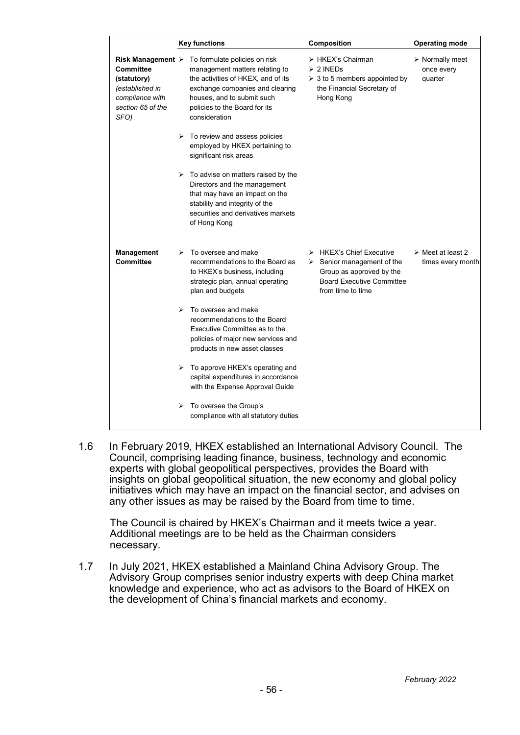|                                                                                             |                       | <b>Key functions</b>                                                                                                                                                                                                                                      | Composition                                                                                                                                                               | <b>Operating mode</b>                                   |
|---------------------------------------------------------------------------------------------|-----------------------|-----------------------------------------------------------------------------------------------------------------------------------------------------------------------------------------------------------------------------------------------------------|---------------------------------------------------------------------------------------------------------------------------------------------------------------------------|---------------------------------------------------------|
| Committee<br>(statutory)<br>(established in<br>compliance with<br>section 65 of the<br>SFO) |                       | Risk Management $\triangleright$ To formulate policies on risk<br>management matters relating to<br>the activities of HKEX, and of its<br>exchange companies and clearing<br>houses, and to submit such<br>policies to the Board for its<br>consideration | > HKEX's Chairman<br>$\geq 2$ INEDs<br>$\geq 3$ to 5 members appointed by<br>the Financial Secretary of<br>Hong Kong                                                      | $\triangleright$ Normally meet<br>once every<br>quarter |
|                                                                                             | ⋗                     | To review and assess policies<br>employed by HKEX pertaining to<br>significant risk areas                                                                                                                                                                 |                                                                                                                                                                           |                                                         |
|                                                                                             |                       | $\triangleright$ To advise on matters raised by the<br>Directors and the management<br>that may have an impact on the<br>stability and integrity of the<br>securities and derivatives markets<br>of Hong Kong                                             |                                                                                                                                                                           |                                                         |
| Management<br><b>Committee</b>                                                              | ⋗                     | To oversee and make<br>recommendations to the Board as<br>to HKEX's business, including<br>strategic plan, annual operating<br>plan and budgets                                                                                                           | $\triangleright$ HKEX's Chief Executive<br>$\triangleright$ Senior management of the<br>Group as approved by the<br><b>Board Executive Committee</b><br>from time to time | $\triangleright$ Meet at least 2<br>times every month   |
|                                                                                             | $\blacktriangleright$ | To oversee and make<br>recommendations to the Board<br>Executive Committee as to the<br>policies of major new services and<br>products in new asset classes                                                                                               |                                                                                                                                                                           |                                                         |
|                                                                                             | ➤                     | To approve HKEX's operating and<br>capital expenditures in accordance<br>with the Expense Approval Guide                                                                                                                                                  |                                                                                                                                                                           |                                                         |
|                                                                                             | ➤                     | To oversee the Group's<br>compliance with all statutory duties                                                                                                                                                                                            |                                                                                                                                                                           |                                                         |

1.6 In February 2019, HKEX established an International Advisory Council. The Council, comprising leading finance, business, technology and economic experts with global geopolitical perspectives, provides the Board with insights on global geopolitical situation, the new economy and global policy initiatives which may have an impact on the financial sector, and advises on any other issues as may be raised by the Board from time to time.

The Council is chaired by HKEX's Chairman and it meets twice a year. Additional meetings are to be held as the Chairman considers necessary.

1.7 In July 2021, HKEX established a Mainland China Advisory Group. The Advisory Group comprises senior industry experts with deep China market knowledge and experience, who act as advisors to the Board of HKEX on the development of China's financial markets and economy.